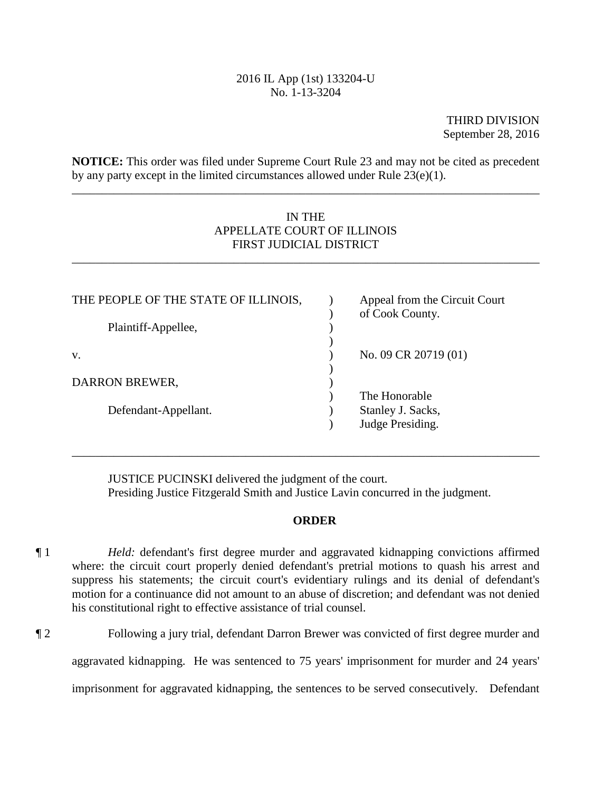# 2016 IL App (1st) 133204-U No. 1-13-3204

THIRD DIVISION September 28, 2016

**NOTICE:** This order was filed under Supreme Court Rule 23 and may not be cited as precedent by any party except in the limited circumstances allowed under Rule 23(e)(1).

\_\_\_\_\_\_\_\_\_\_\_\_\_\_\_\_\_\_\_\_\_\_\_\_\_\_\_\_\_\_\_\_\_\_\_\_\_\_\_\_\_\_\_\_\_\_\_\_\_\_\_\_\_\_\_\_\_\_\_\_\_\_\_\_\_\_\_\_\_\_\_\_\_\_\_\_\_\_

# IN THE APPELLATE COURT OF ILLINOIS FIRST JUDICIAL DISTRICT

\_\_\_\_\_\_\_\_\_\_\_\_\_\_\_\_\_\_\_\_\_\_\_\_\_\_\_\_\_\_\_\_\_\_\_\_\_\_\_\_\_\_\_\_\_\_\_\_\_\_\_\_\_\_\_\_\_\_\_\_\_\_\_\_\_\_\_\_\_\_\_\_\_\_\_\_\_\_

| THE PEOPLE OF THE STATE OF ILLINOIS, | Appeal from the Circuit Court<br>of Cook County. |
|--------------------------------------|--------------------------------------------------|
| Plaintiff-Appellee,                  |                                                  |
| V.                                   | No. 09 CR 20719 (01)                             |
| DARRON BREWER,                       |                                                  |
|                                      | The Honorable                                    |
| Defendant-Appellant.                 | Stanley J. Sacks,<br>Judge Presiding.            |
|                                      |                                                  |

JUSTICE PUCINSKI delivered the judgment of the court. Presiding Justice Fitzgerald Smith and Justice Lavin concurred in the judgment.

\_\_\_\_\_\_\_\_\_\_\_\_\_\_\_\_\_\_\_\_\_\_\_\_\_\_\_\_\_\_\_\_\_\_\_\_\_\_\_\_\_\_\_\_\_\_\_\_\_\_\_\_\_\_\_\_\_\_\_\_\_\_\_\_\_\_\_\_\_\_\_\_\_\_\_\_\_\_

# **ORDER**

- his constitutional right to effective assistance of trial counsel. ¶ 1 *Held:* defendant's first degree murder and aggravated kidnapping convictions affirmed where: the circuit court properly denied defendant's pretrial motions to quash his arrest and suppress his statements; the circuit court's evidentiary rulings and its denial of defendant's motion for a continuance did not amount to an abuse of discretion; and defendant was not denied
- ¶ 2 Following a jury trial, defendant Darron Brewer was convicted of first degree murder and

aggravated kidnapping. He was sentenced to 75 years' imprisonment for murder and 24 years'

imprisonment for aggravated kidnapping, the sentences to be served consecutively. Defendant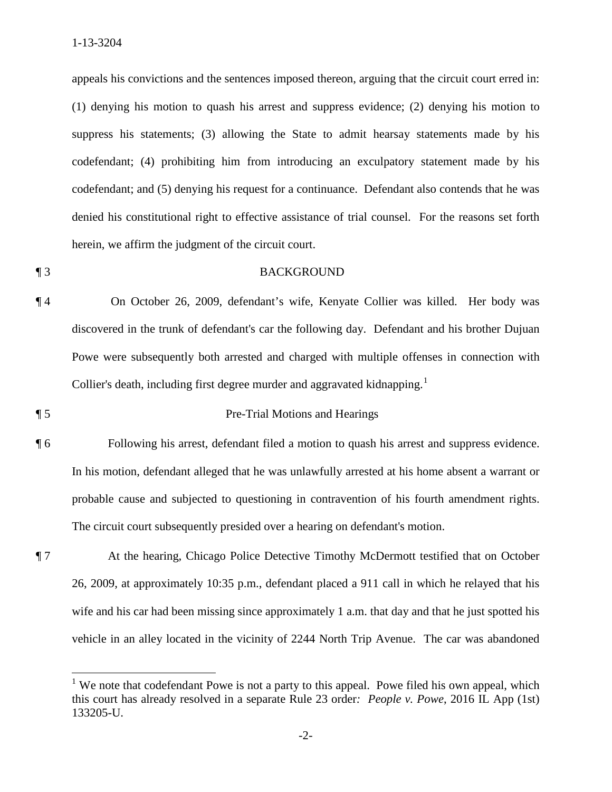$\overline{a}$ 

 suppress his statements; (3) allowing the State to admit hearsay statements made by his appeals his convictions and the sentences imposed thereon, arguing that the circuit court erred in: (1) denying his motion to quash his arrest and suppress evidence; (2) denying his motion to codefendant; (4) prohibiting him from introducing an exculpatory statement made by his codefendant; and (5) denying his request for a continuance. Defendant also contends that he was denied his constitutional right to effective assistance of trial counsel. For the reasons set forth herein, we affirm the judgment of the circuit court.

# ¶ 3 BACKGROUND

Collier's death, including first degree murder and aggravated kidnapping.<sup>1</sup> ¶ 4 On October 26, 2009, defendant's wife, Kenyate Collier was killed. Her body was discovered in the trunk of defendant's car the following day. Defendant and his brother Dujuan Powe were subsequently both arrested and charged with multiple offenses in connection with

# ¶ 5 Pre-Trial Motions and Hearings

- ¶ 6 Following his arrest, defendant filed a motion to quash his arrest and suppress evidence. In his motion, defendant alleged that he was unlawfully arrested at his home absent a warrant or probable cause and subjected to questioning in contravention of his fourth amendment rights. The circuit court subsequently presided over a hearing on defendant's motion.
- ¶ 7 At the hearing, Chicago Police Detective Timothy McDermott testified that on October 26, 2009, at approximately 10:35 p.m., defendant placed a 911 call in which he relayed that his wife and his car had been missing since approximately 1 a.m. that day and that he just spotted his vehicle in an alley located in the vicinity of 2244 North Trip Avenue. The car was abandoned

 this court has already resolved in a separate Rule 23 order*: People v. Powe*, 2016 IL App (1st) <sup>1</sup> We note that codefendant Powe is not a party to this appeal. Powe filed his own appeal, which 133205-U.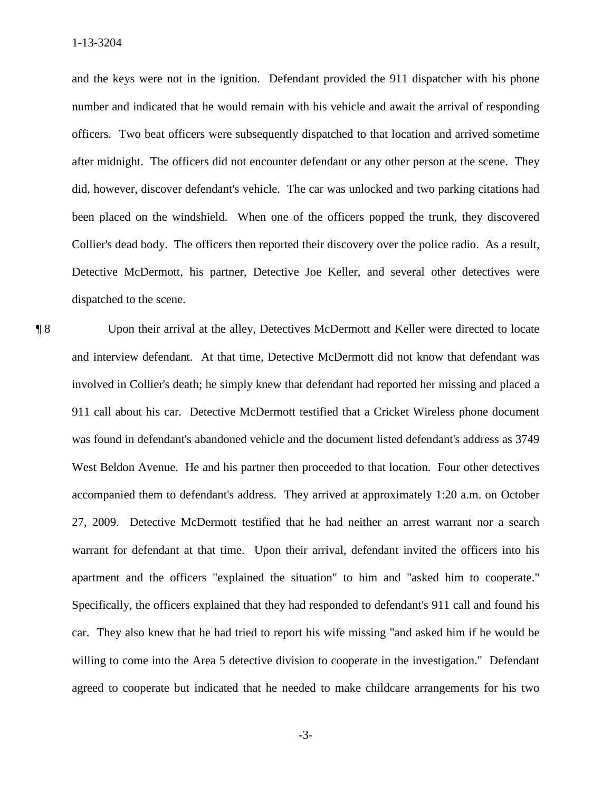Detective McDermott, his partner, Detective Joe Keller, and several other detectives were dispatched to the scene. dispatched to the scene.<br> **[8** Upon their arrival at the alley, Detectives McDermott and Keller were directed to locate and the keys were not in the ignition. Defendant provided the 911 dispatcher with his phone number and indicated that he would remain with his vehicle and await the arrival of responding officers. Two beat officers were subsequently dispatched to that location and arrived sometime after midnight. The officers did not encounter defendant or any other person at the scene. They did, however, discover defendant's vehicle. The car was unlocked and two parking citations had been placed on the windshield. When one of the officers popped the trunk, they discovered Collier's dead body. The officers then reported their discovery over the police radio. As a result,

 and interview defendant. At that time, Detective McDermott did not know that defendant was accompanied them to defendant's address. They arrived at approximately 1:20 a.m. on October apartment and the officers "explained the situation" to him and "asked him to cooperate." willing to come into the Area 5 detective division to cooperate in the investigation." Defendant involved in Collier's death; he simply knew that defendant had reported her missing and placed a 911 call about his car. Detective McDermott testified that a Cricket Wireless phone document was found in defendant's abandoned vehicle and the document listed defendant's address as 3749 West Beldon Avenue. He and his partner then proceeded to that location. Four other detectives 27, 2009. Detective McDermott testified that he had neither an arrest warrant nor a search warrant for defendant at that time. Upon their arrival, defendant invited the officers into his Specifically, the officers explained that they had responded to defendant's 911 call and found his car. They also knew that he had tried to report his wife missing "and asked him if he would be agreed to cooperate but indicated that he needed to make childcare arrangements for his two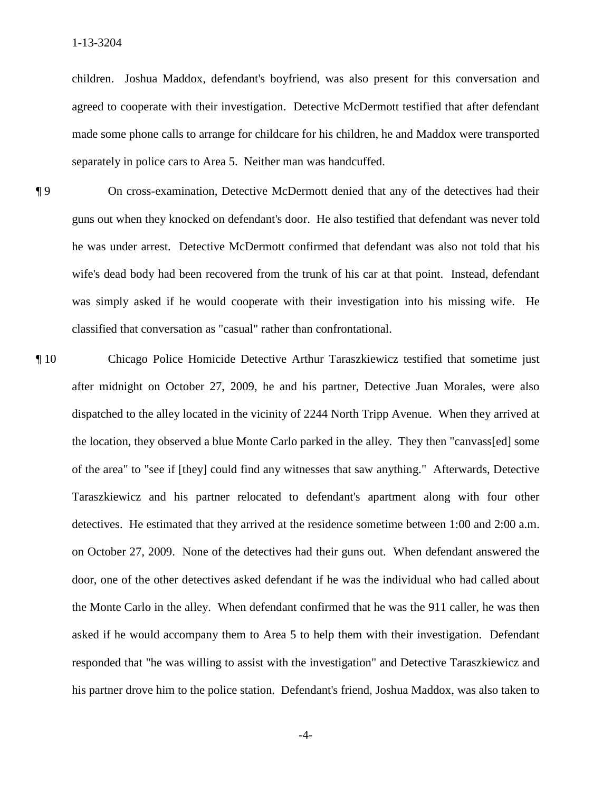agreed to cooperate with their investigation. Detective McDermott testified that after defendant separately in police cars to Area 5. Neither man was handcuffed. children. Joshua Maddox, defendant's boyfriend, was also present for this conversation and made some phone calls to arrange for childcare for his children, he and Maddox were transported

- guns out when they knocked on defendant's door. He also testified that defendant was never told he was under arrest. Detective McDermott confirmed that defendant was also not told that his was simply asked if he would cooperate with their investigation into his missing wife. He ¶ 9 On cross-examination, Detective McDermott denied that any of the detectives had their wife's dead body had been recovered from the trunk of his car at that point. Instead, defendant classified that conversation as "casual" rather than confrontational.
- dispatched to the alley located in the vicinity of 2244 North Tripp Avenue. When they arrived at of the area" to "see if [they] could find any witnesses that saw anything." Afterwards, Detective detectives. He estimated that they arrived at the residence sometime between 1:00 and 2:00 a.m. the Monte Carlo in the alley. When defendant confirmed that he was the 911 caller, he was then ¶ 10 Chicago Police Homicide Detective Arthur Taraszkiewicz testified that sometime just after midnight on October 27, 2009, he and his partner, Detective Juan Morales, were also the location, they observed a blue Monte Carlo parked in the alley. They then "canvass[ed] some Taraszkiewicz and his partner relocated to defendant's apartment along with four other on October 27, 2009. None of the detectives had their guns out. When defendant answered the door, one of the other detectives asked defendant if he was the individual who had called about asked if he would accompany them to Area 5 to help them with their investigation. Defendant responded that "he was willing to assist with the investigation" and Detective Taraszkiewicz and his partner drove him to the police station. Defendant's friend, Joshua Maddox, was also taken to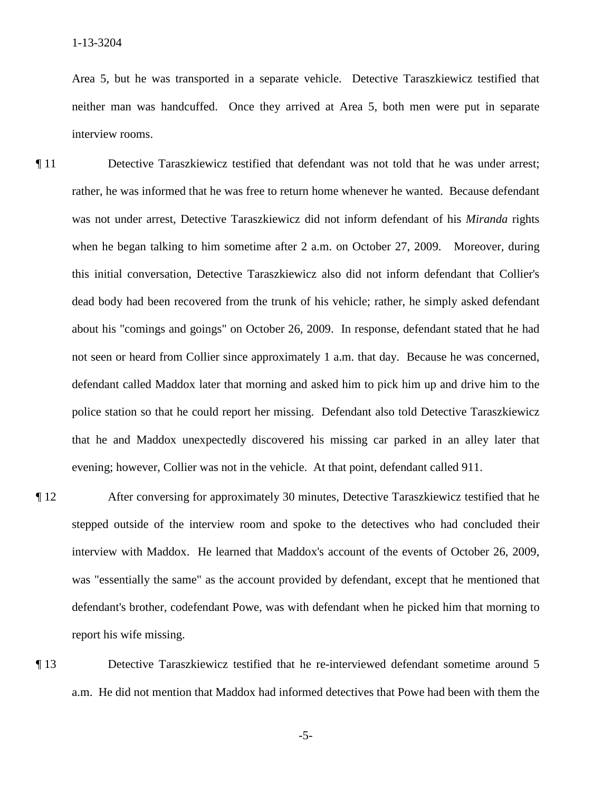Area 5, but he was transported in a separate vehicle. Detective Taraszkiewicz testified that neither man was handcuffed. Once they arrived at Area 5, both men were put in separate interview rooms.

- rather, he was informed that he was free to return home whenever he wanted. Because defendant not seen or heard from Collier since approximately 1 a.m. that day. Because he was concerned, police station so that he could report her missing. Defendant also told Detective Taraszkiewicz ¶ 11 Detective Taraszkiewicz testified that defendant was not told that he was under arrest; was not under arrest, Detective Taraszkiewicz did not inform defendant of his *Miranda* rights when he began talking to him sometime after 2 a.m. on October 27, 2009. Moreover, during this initial conversation, Detective Taraszkiewicz also did not inform defendant that Collier's dead body had been recovered from the trunk of his vehicle; rather, he simply asked defendant about his "comings and goings" on October 26, 2009. In response, defendant stated that he had defendant called Maddox later that morning and asked him to pick him up and drive him to the that he and Maddox unexpectedly discovered his missing car parked in an alley later that evening; however, Collier was not in the vehicle. At that point, defendant called 911.
- report his wife missing. ¶ 12 After conversing for approximately 30 minutes, Detective Taraszkiewicz testified that he stepped outside of the interview room and spoke to the detectives who had concluded their interview with Maddox. He learned that Maddox's account of the events of October 26, 2009, was "essentially the same" as the account provided by defendant, except that he mentioned that defendant's brother, codefendant Powe, was with defendant when he picked him that morning to
- **Text** 13 Detective Taraszkiewicz testified that he re-interviewed defendant sometime around 5 a.m. He did not mention that Maddox had informed detectives that Powe had been with them the

 $-5-$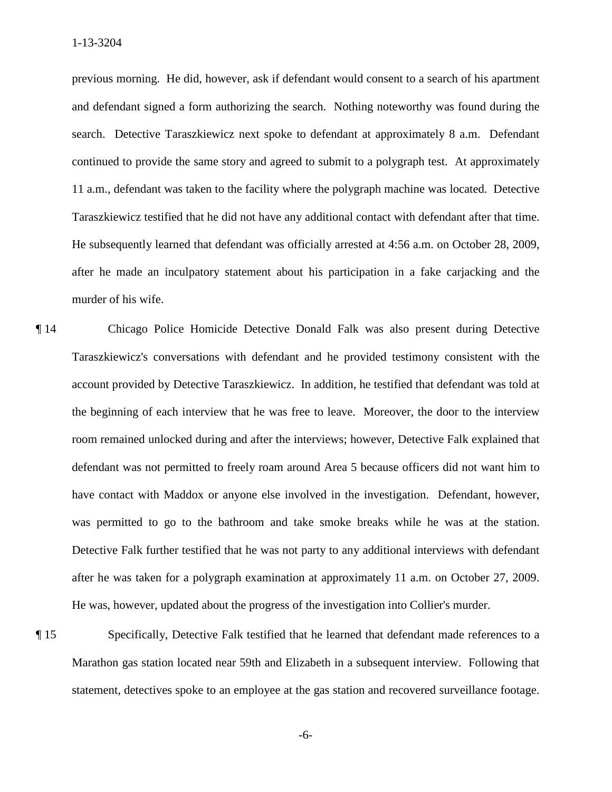search. Detective Taraszkiewicz next spoke to defendant at approximately 8 a.m. Defendant Taraszkiewicz testified that he did not have any additional contact with defendant after that time. previous morning. He did, however, ask if defendant would consent to a search of his apartment and defendant signed a form authorizing the search. Nothing noteworthy was found during the continued to provide the same story and agreed to submit to a polygraph test. At approximately 11 a.m., defendant was taken to the facility where the polygraph machine was located. Detective He subsequently learned that defendant was officially arrested at  $4:56$  a.m. on October 28, 2009, after he made an inculpatory statement about his participation in a fake carjacking and the murder of his wife.

- account provided by Detective Taraszkiewicz. In addition, he testified that defendant was told at was permitted to go to the bathroom and take smoke breaks while he was at the station. after he was taken for a polygraph examination at approximately 11 a.m. on October 27, 2009. He was, however, updated about the progress of the investigation into Collier's murder. ¶ 14 Chicago Police Homicide Detective Donald Falk was also present during Detective Taraszkiewicz's conversations with defendant and he provided testimony consistent with the the beginning of each interview that he was free to leave. Moreover, the door to the interview room remained unlocked during and after the interviews; however, Detective Falk explained that defendant was not permitted to freely roam around Area 5 because officers did not want him to have contact with Maddox or anyone else involved in the investigation. Defendant, however, Detective Falk further testified that he was not party to any additional interviews with defendant
- statement, detectives spoke to an employee at the gas station and recovered surveillance footage.<br>-6-¶ 15 Specifically, Detective Falk testified that he learned that defendant made references to a Marathon gas station located near 59th and Elizabeth in a subsequent interview. Following that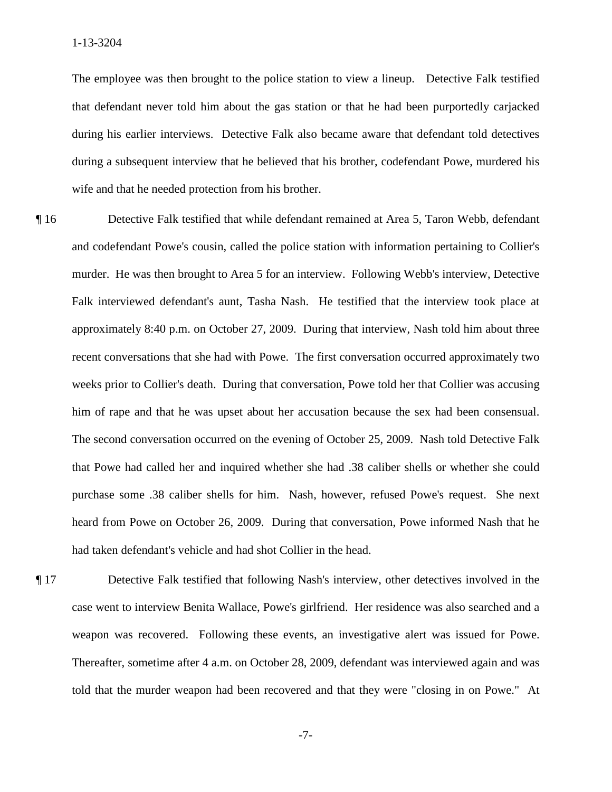The employee was then brought to the police station to view a lineup. Detective Falk testified that defendant never told him about the gas station or that he had been purportedly carjacked during his earlier interviews. Detective Falk also became aware that defendant told detectives during a subsequent interview that he believed that his brother, codefendant Powe, murdered his wife and that he needed protection from his brother.

- ¶ 16 Detective Falk testified that while defendant remained at Area 5, Taron Webb, defendant murder. He was then brought to Area 5 for an interview. Following Webb's interview, Detective him of rape and that he was upset about her accusation because the sex had been consensual. him of rape and that he was upset about her accusation because the sex had been consensual. The second conversation occurred on the evening of October 25, 2009. Nash told Detective Falk and codefendant Powe's cousin, called the police station with information pertaining to Collier's Falk interviewed defendant's aunt, Tasha Nash. He testified that the interview took place at approximately 8:40 p.m. on October 27, 2009. During that interview, Nash told him about three recent conversations that she had with Powe. The first conversation occurred approximately two weeks prior to Collier's death. During that conversation, Powe told her that Collier was accusing that Powe had called her and inquired whether she had .38 caliber shells or whether she could purchase some .38 caliber shells for him. Nash, however, refused Powe's request. She next heard from Powe on October 26, 2009. During that conversation, Powe informed Nash that he had taken defendant's vehicle and had shot Collier in the head.
- ¶ 17 Detective Falk testified that following Nash's interview, other detectives involved in the case went to interview Benita Wallace, Powe's girlfriend. Her residence was also searched and a weapon was recovered. Following these events, an investigative alert was issued for Powe. Thereafter, sometime after 4 a.m. on October 28, 2009, defendant was interviewed again and was told that the murder weapon had been recovered and that they were "closing in on Powe." At

 $-7-$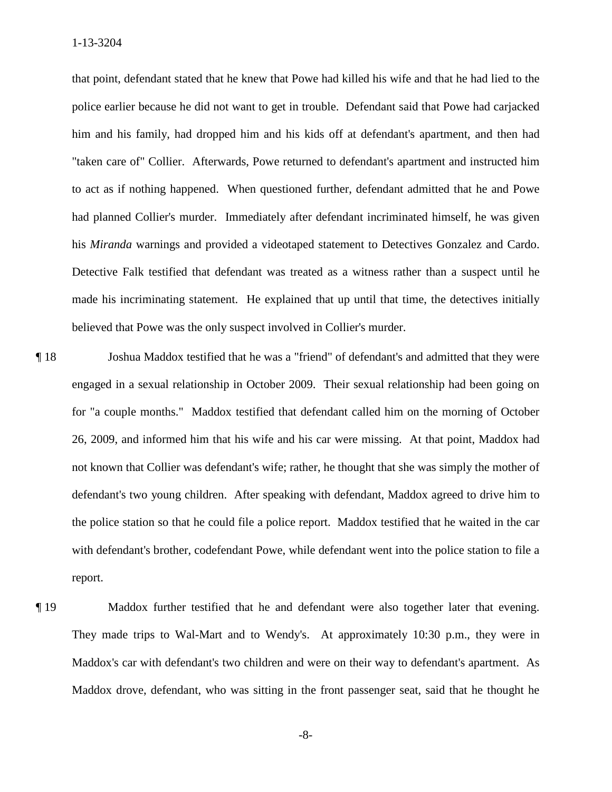"taken care of" Collier. Afterwards, Powe returned to defendant's apartment and instructed him his *Miranda* warnings and provided a videotaped statement to Detectives Gonzalez and Cardo. made his incriminating statement. He explained that up until that time, the detectives initially that point, defendant stated that he knew that Powe had killed his wife and that he had lied to the police earlier because he did not want to get in trouble. Defendant said that Powe had carjacked him and his family, had dropped him and his kids off at defendant's apartment, and then had to act as if nothing happened. When questioned further, defendant admitted that he and Powe had planned Collier's murder. Immediately after defendant incriminated himself, he was given Detective Falk testified that defendant was treated as a witness rather than a suspect until he believed that Powe was the only suspect involved in Collier's murder.

 for "a couple months." Maddox testified that defendant called him on the morning of October not known that Collier was defendant's wife; rather, he thought that she was simply the mother of with defendant's brother, codefendant Powe, while defendant went into the police station to file a ¶ 18 Joshua Maddox testified that he was a "friend" of defendant's and admitted that they were engaged in a sexual relationship in October 2009. Their sexual relationship had been going on 26, 2009, and informed him that his wife and his car were missing. At that point, Maddox had defendant's two young children. After speaking with defendant, Maddox agreed to drive him to the police station so that he could file a police report. Maddox testified that he waited in the car report.

Maddox further testified that he and defendant were also together later that evening. ¶ 19 Maddox further testified that he and defendant were also together later that evening. They made trips to Wal-Mart and to Wendy's. At approximately 10:30 p.m., they were in Maddox's car with defendant's two children and were on their way to defendant's apartment. As Maddox drove, defendant, who was sitting in the front passenger seat, said that he thought he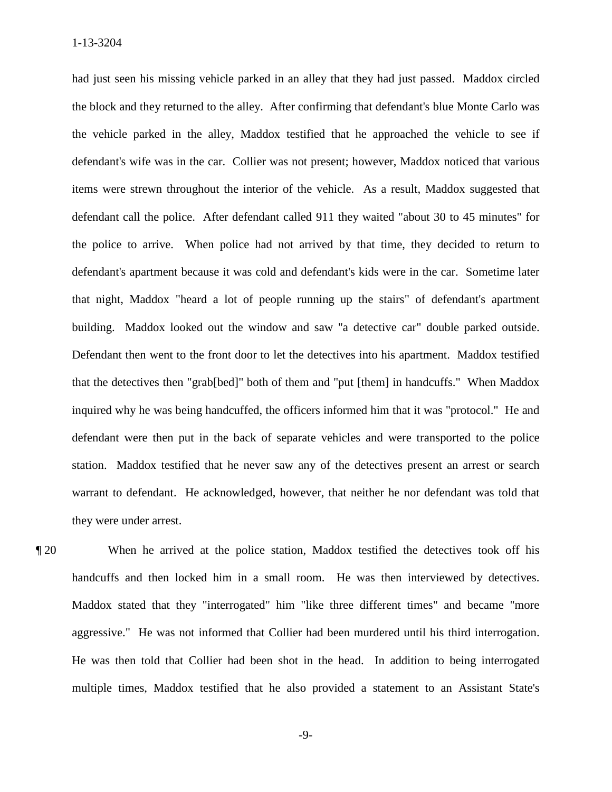defendant's wife was in the car. Collier was not present; however, Maddox noticed that various that night, Maddox "heard a lot of people running up the stairs" of defendant's apartment they were under arrest. had just seen his missing vehicle parked in an alley that they had just passed. Maddox circled the block and they returned to the alley. After confirming that defendant's blue Monte Carlo was the vehicle parked in the alley, Maddox testified that he approached the vehicle to see if items were strewn throughout the interior of the vehicle. As a result, Maddox suggested that defendant call the police. After defendant called 911 they waited "about 30 to 45 minutes" for the police to arrive. When police had not arrived by that time, they decided to return to defendant's apartment because it was cold and defendant's kids were in the car. Sometime later building. Maddox looked out the window and saw "a detective car" double parked outside. Defendant then went to the front door to let the detectives into his apartment. Maddox testified that the detectives then "grab[bed]" both of them and "put [them] in handcuffs." When Maddox inquired why he was being handcuffed, the officers informed him that it was "protocol." He and defendant were then put in the back of separate vehicles and were transported to the police station. Maddox testified that he never saw any of the detectives present an arrest or search warrant to defendant. He acknowledged, however, that neither he nor defendant was told that

handcuffs and then locked him in a small room. He was then interviewed by detectives. handcuffs and then locked him in a small room. He was then interviewed by detectives. Maddox stated that they "interrogated" him "like three different times" and became "more ¶ 20 When he arrived at the police station, Maddox testified the detectives took off his aggressive." He was not informed that Collier had been murdered until his third interrogation. He was then told that Collier had been shot in the head. In addition to being interrogated multiple times, Maddox testified that he also provided a statement to an Assistant State's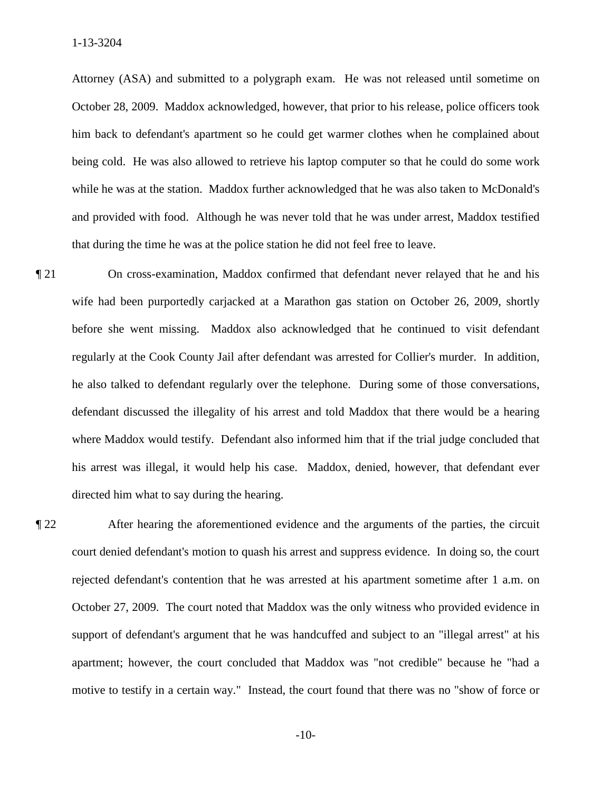Attorney (ASA) and submitted to a polygraph exam. He was not released until sometime on that during the time he was at the police station he did not feel free to leave. October 28, 2009. Maddox acknowledged, however, that prior to his release, police officers took him back to defendant's apartment so he could get warmer clothes when he complained about being cold. He was also allowed to retrieve his laptop computer so that he could do some work while he was at the station. Maddox further acknowledged that he was also taken to McDonald's and provided with food. Although he was never told that he was under arrest, Maddox testified

- $\P$  21 On cross-examination, Maddox confirmed that defendant never relayed that he and his wife had been purportedly carjacked at a Marathon gas station on October 26, 2009, shortly before she went missing. Maddox also acknowledged that he continued to visit defendant regularly at the Cook County Jail after defendant was arrested for Collier's murder. In addition, he also talked to defendant regularly over the telephone. During some of those conversations, defendant discussed the illegality of his arrest and told Maddox that there would be a hearing where Maddox would testify. Defendant also informed him that if the trial judge concluded that his arrest was illegal, it would help his case. Maddox, denied, however, that defendant ever directed him what to say during the hearing.
- court denied defendant's motion to quash his arrest and suppress evidence. In doing so, the court support of defendant's argument that he was handcuffed and subject to an "illegal arrest" at his motive to testify in a certain way." Instead, the court found that there was no "show of force or ¶ 22 After hearing the aforementioned evidence and the arguments of the parties, the circuit rejected defendant's contention that he was arrested at his apartment sometime after 1 a.m. on October 27, 2009. The court noted that Maddox was the only witness who provided evidence in apartment; however, the court concluded that Maddox was "not credible" because he "had a

 $-10-$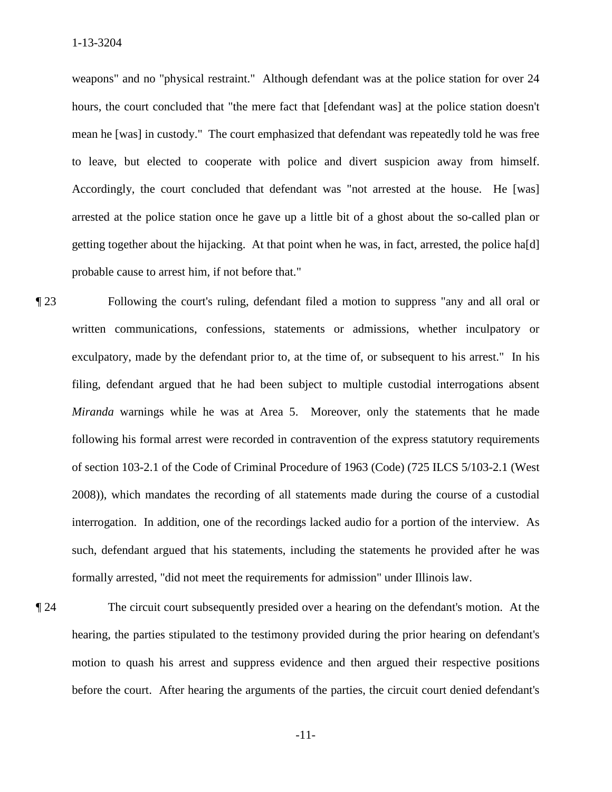mean he [was] in custody." The court emphasized that defendant was repeatedly told he was free to leave, but elected to cooperate with police and divert suspicion away from himself. weapons" and no "physical restraint." Although defendant was at the police station for over 24 hours, the court concluded that "the mere fact that [defendant was] at the police station doesn't Accordingly, the court concluded that defendant was "not arrested at the house. He [was] arrested at the police station once he gave up a little bit of a ghost about the so-called plan or getting together about the hijacking. At that point when he was, in fact, arrested, the police ha[d] probable cause to arrest him, if not before that."

 written communications, confessions, statements or admissions, whether inculpatory or exculpatory, made by the defendant prior to, at the time of, or subsequent to his arrest." In his *Miranda* warnings while he was at Area 5. Moreover, only the statements that he made interrogation. In addition, one of the recordings lacked audio for a portion of the interview. As ¶ 23 Following the court's ruling, defendant filed a motion to suppress "any and all oral or filing, defendant argued that he had been subject to multiple custodial interrogations absent following his formal arrest were recorded in contravention of the express statutory requirements of section 103-2.1 of the Code of Criminal Procedure of 1963 (Code) (725 ILCS 5/103-2.1 (West 2008)), which mandates the recording of all statements made during the course of a custodial such, defendant argued that his statements, including the statements he provided after he was formally arrested, "did not meet the requirements for admission" under Illinois law.

¶ 24 The circuit court subsequently presided over a hearing on the defendant's motion. At the hearing, the parties stipulated to the testimony provided during the prior hearing on defendant's motion to quash his arrest and suppress evidence and then argued their respective positions before the court. After hearing the arguments of the parties, the circuit court denied defendant's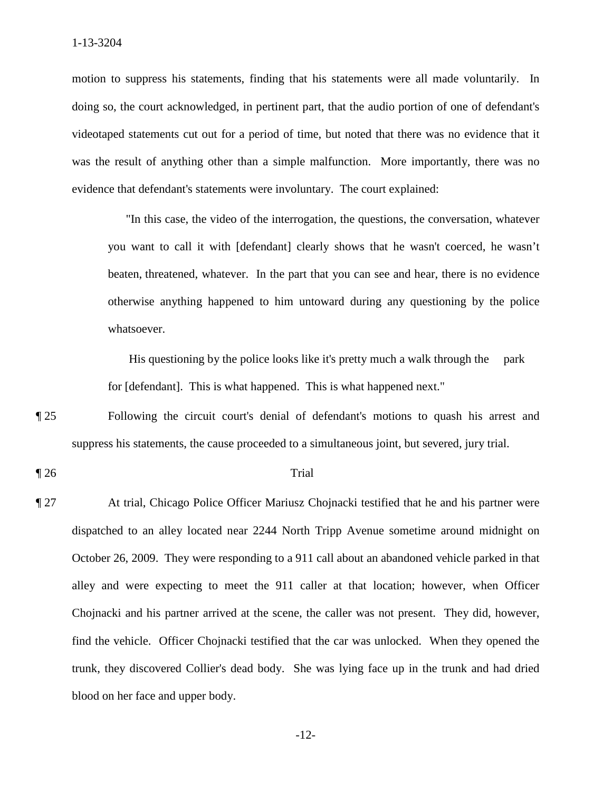motion to suppress his statements, finding that his statements were all made voluntarily. In was the result of anything other than a simple malfunction. More importantly, there was no evidence that defendant's statements were involuntary. The court explained: doing so, the court acknowledged, in pertinent part, that the audio portion of one of defendant's videotaped statements cut out for a period of time, but noted that there was no evidence that it

"In this case, the video of the interrogation, the questions, the conversation, whatever you want to call it with [defendant] clearly shows that he wasn't coerced, he wasn't beaten, threatened, whatever. In the part that you can see and hear, there is no evidence otherwise anything happened to him untoward during any questioning by the police whatsoever.

for [defendant]. This is what happened. This is what happened next." His questioning by the police looks like it's pretty much a walk through the park

for [defendant]. This is what happened. This is what happened next."<br> **[25** Following the circuit court's denial of defendant's motions to quash his arrest and suppress his statements, the cause proceeded to a simultaneous joint, but severed, jury trial.

### $\llbracket 26$  Trial

 find the vehicle. Officer Chojnacki testified that the car was unlocked. When they opened the ¶ 27 At trial, Chicago Police Officer Mariusz Chojnacki testified that he and his partner were dispatched to an alley located near 2244 North Tripp Avenue sometime around midnight on October 26, 2009. They were responding to a 911 call about an abandoned vehicle parked in that alley and were expecting to meet the 911 caller at that location; however, when Officer Chojnacki and his partner arrived at the scene, the caller was not present. They did, however, trunk, they discovered Collier's dead body. She was lying face up in the trunk and had dried blood on her face and upper body.

 $-12-$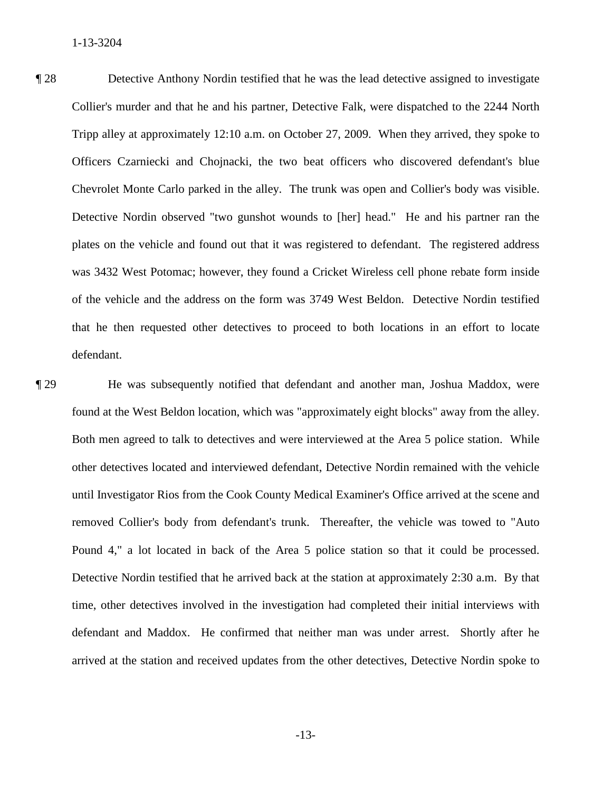Detective Nordin observed "two gunshot wounds to [her] head." He and his partner ran the of the vehicle and the address on the form was 3749 West Beldon. Detective Nordin testified ¶ 28 Detective Anthony Nordin testified that he was the lead detective assigned to investigate Collier's murder and that he and his partner, Detective Falk, were dispatched to the 2244 North Tripp alley at approximately 12:10 a.m. on October 27, 2009. When they arrived, they spoke to Officers Czarniecki and Chojnacki, the two beat officers who discovered defendant's blue Chevrolet Monte Carlo parked in the alley. The trunk was open and Collier's body was visible. plates on the vehicle and found out that it was registered to defendant. The registered address was 3432 West Potomac; however, they found a Cricket Wireless cell phone rebate form inside that he then requested other detectives to proceed to both locations in an effort to locate defendant.

 found at the West Beldon location, which was "approximately eight blocks" away from the alley. Both men agreed to talk to detectives and were interviewed at the Area 5 police station. While Pound 4," a lot located in back of the Area 5 police station so that it could be processed. Pound 4," a lot located in back of the Area 5 police station so that it could be processed. Detective Nordin testified that he arrived back at the station at approximately 2:30 a.m. By that ¶ 29 He was subsequently notified that defendant and another man, Joshua Maddox, were other detectives located and interviewed defendant, Detective Nordin remained with the vehicle until Investigator Rios from the Cook County Medical Examiner's Office arrived at the scene and removed Collier's body from defendant's trunk. Thereafter, the vehicle was towed to "Auto time, other detectives involved in the investigation had completed their initial interviews with defendant and Maddox. He confirmed that neither man was under arrest. Shortly after he arrived at the station and received updates from the other detectives, Detective Nordin spoke to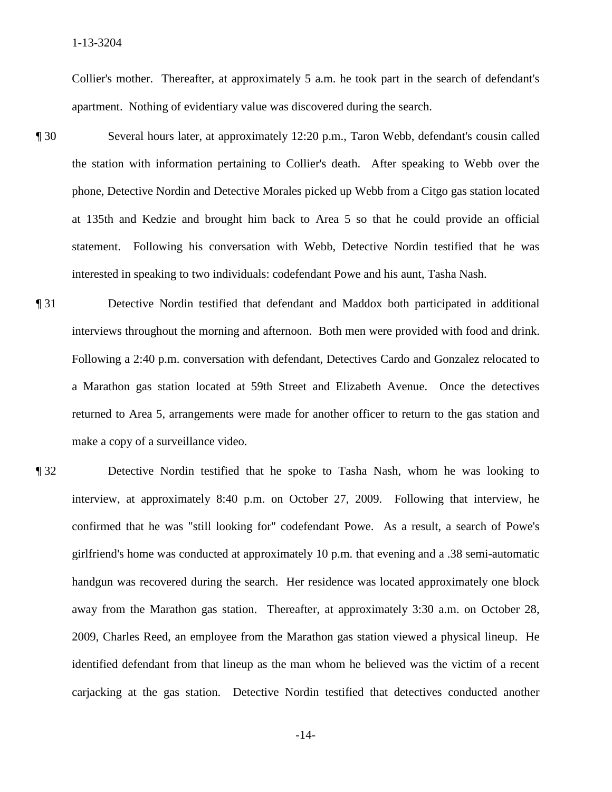Collier's mother. Thereafter, at approximately 5 a.m. he took part in the search of defendant's apartment. Nothing of evidentiary value was discovered during the search.

- phone, Detective Nordin and Detective Morales picked up Webb from a Citgo gas station located at 135th and Kedzie and brought him back to Area 5 so that he could provide an official ¶ 30 Several hours later, at approximately 12:20 p.m., Taron Webb, defendant's cousin called the station with information pertaining to Collier's death. After speaking to Webb over the statement. Following his conversation with Webb, Detective Nordin testified that he was interested in speaking to two individuals: codefendant Powe and his aunt, Tasha Nash.
- ¶ 31 Detective Nordin testified that defendant and Maddox both participated in additional interviews throughout the morning and afternoon. Both men were provided with food and drink. Following a 2:40 p.m. conversation with defendant, Detectives Cardo and Gonzalez relocated to a Marathon gas station located at 59th Street and Elizabeth Avenue. Once the detectives returned to Area 5, arrangements were made for another officer to return to the gas station and make a copy of a surveillance video.
- ¶ 32 Detective Nordin testified that he spoke to Tasha Nash, whom he was looking to interview, at approximately 8:40 p.m. on October 27, 2009. Following that interview, he confirmed that he was "still looking for" codefendant Powe. As a result, a search of Powe's girlfriend's home was conducted at approximately 10 p.m. that evening and a .38 semi-automatic handgun was recovered during the search. Her residence was located approximately one block away from the Marathon gas station. Thereafter, at approximately 3:30 a.m. on October 28, 2009, Charles Reed, an employee from the Marathon gas station viewed a physical lineup. He identified defendant from that lineup as the man whom he believed was the victim of a recent carjacking at the gas station. Detective Nordin testified that detectives conducted another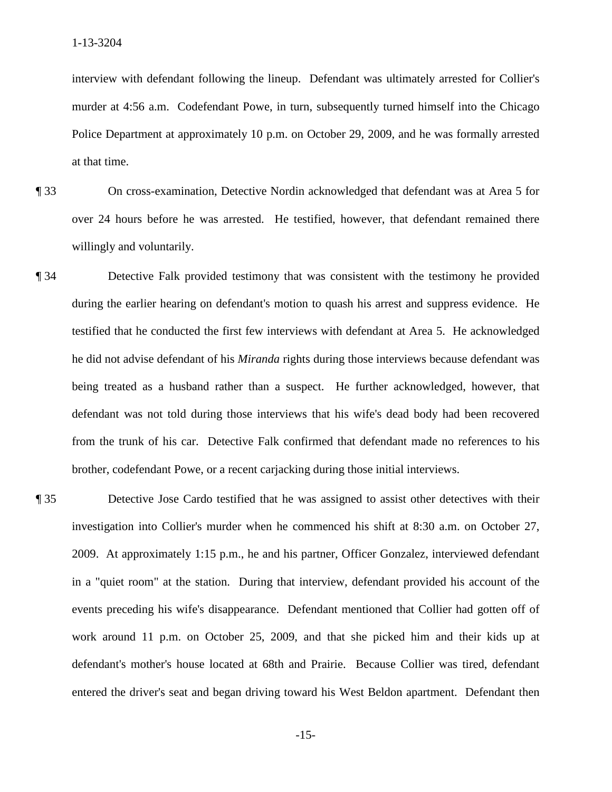interview with defendant following the lineup. Defendant was ultimately arrested for Collier's murder at 4:56 a.m. Codefendant Powe, in turn, subsequently turned himself into the Chicago Police Department at approximately 10 p.m. on October 29, 2009, and he was formally arrested at that time.

- willingly and voluntarily. ¶ 33 On cross-examination, Detective Nordin acknowledged that defendant was at Area 5 for over 24 hours before he was arrested. He testified, however, that defendant remained there
- ¶ 34 Detective Falk provided testimony that was consistent with the testimony he provided during the earlier hearing on defendant's motion to quash his arrest and suppress evidence. He testified that he conducted the first few interviews with defendant at Area 5. He acknowledged he did not advise defendant of his *Miranda* rights during those interviews because defendant was being treated as a husband rather than a suspect. He further acknowledged, however, that defendant was not told during those interviews that his wife's dead body had been recovered from the trunk of his car. Detective Falk confirmed that defendant made no references to his brother, codefendant Powe, or a recent carjacking during those initial interviews.
- entered the driver's seat and began driving toward his West Beldon apartment. Defendant then ¶ 35 Detective Jose Cardo testified that he was assigned to assist other detectives with their investigation into Collier's murder when he commenced his shift at 8:30 a.m. on October 27, 2009. At approximately 1:15 p.m., he and his partner, Officer Gonzalez, interviewed defendant in a "quiet room" at the station. During that interview, defendant provided his account of the events preceding his wife's disappearance. Defendant mentioned that Collier had gotten off of work around 11 p.m. on October 25, 2009, and that she picked him and their kids up at defendant's mother's house located at 68th and Prairie. Because Collier was tired, defendant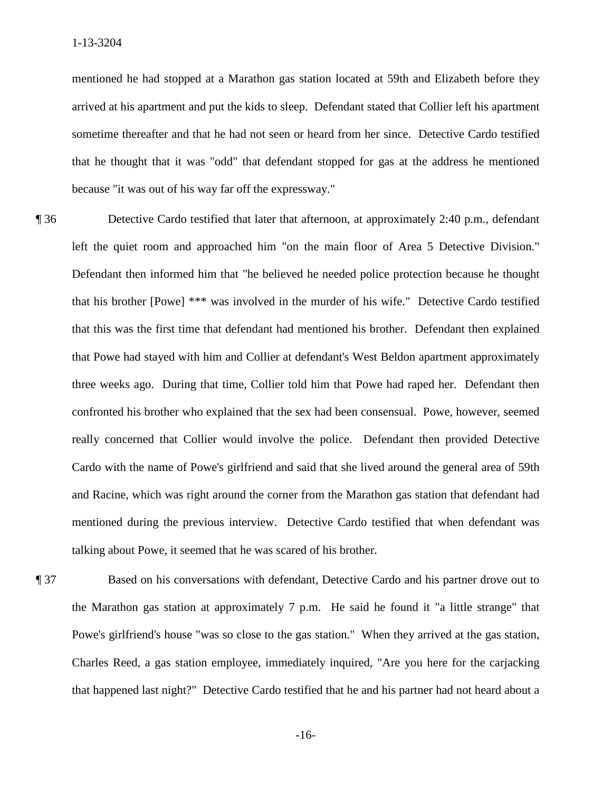arrived at his apartment and put the kids to sleep. Defendant stated that Collier left his apartment sometime thereafter and that he had not seen or heard from her since. Detective Cardo testified that he thought that it was "odd" that defendant stopped for gas at the address he mentioned because "it was out of his way far off the expressway." mentioned he had stopped at a Marathon gas station located at 59th and Elizabeth before they

 left the quiet room and approached him "on the main floor of Area 5 Detective Division." that his brother [Powe] \*\*\* was involved in the murder of his wife." Detective Cardo testified mentioned during the previous interview. Detective Cardo testified that when defendant was **The 36** Detective Cardo testified that later that afternoon, at approximately 2:40 p.m., defendant Defendant then informed him that "he believed he needed police protection because he thought that this was the first time that defendant had mentioned his brother. Defendant then explained that Powe had stayed with him and Collier at defendant's West Beldon apartment approximately three weeks ago. During that time, Collier told him that Powe had raped her. Defendant then confronted his brother who explained that the sex had been consensual. Powe, however, seemed really concerned that Collier would involve the police. Defendant then provided Detective Cardo with the name of Powe's girlfriend and said that she lived around the general area of 59th and Racine, which was right around the corner from the Marathon gas station that defendant had talking about Powe, it seemed that he was scared of his brother.

 Powe's girlfriend's house "was so close to the gas station." When they arrived at the gas station, ¶ 37 Based on his conversations with defendant, Detective Cardo and his partner drove out to the Marathon gas station at approximately 7 p.m. He said he found it "a little strange" that Charles Reed, a gas station employee, immediately inquired, "Are you here for the carjacking that happened last night?" Detective Cardo testified that he and his partner had not heard about a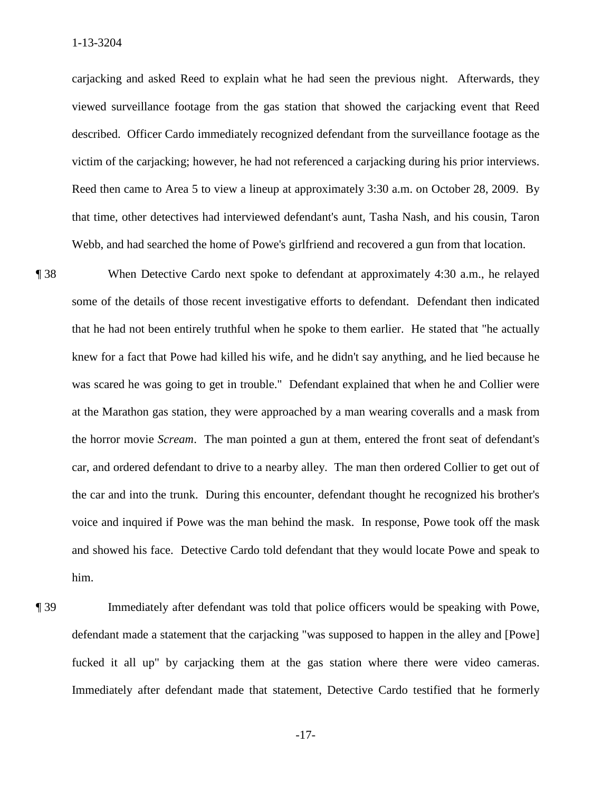victim of the cariacking; however, he had not referenced a cariacking during his prior interviews. carjacking and asked Reed to explain what he had seen the previous night. Afterwards, they viewed surveillance footage from the gas station that showed the carjacking event that Reed described. Officer Cardo immediately recognized defendant from the surveillance footage as the Reed then came to Area 5 to view a lineup at approximately  $3:30$  a.m. on October 28, 2009. By that time, other detectives had interviewed defendant's aunt, Tasha Nash, and his cousin, Taron Webb, and had searched the home of Powe's girlfriend and recovered a gun from that location.

 the horror movie *Scream*. The man pointed a gun at them, entered the front seat of defendant's ¶ 38 When Detective Cardo next spoke to defendant at approximately 4:30 a.m., he relayed some of the details of those recent investigative efforts to defendant. Defendant then indicated that he had not been entirely truthful when he spoke to them earlier. He stated that "he actually knew for a fact that Powe had killed his wife, and he didn't say anything, and he lied because he was scared he was going to get in trouble." Defendant explained that when he and Collier were at the Marathon gas station, they were approached by a man wearing coveralls and a mask from car, and ordered defendant to drive to a nearby alley. The man then ordered Collier to get out of the car and into the trunk. During this encounter, defendant thought he recognized his brother's voice and inquired if Powe was the man behind the mask. In response, Powe took off the mask and showed his face. Detective Cardo told defendant that they would locate Powe and speak to him.

 defendant made a statement that the carjacking "was supposed to happen in the alley and [Powe] fucked it all up" by carjacking them at the gas station where there were video cameras. ¶ 39 Immediately after defendant was told that police officers would be speaking with Powe, Immediately after defendant made that statement, Detective Cardo testified that he formerly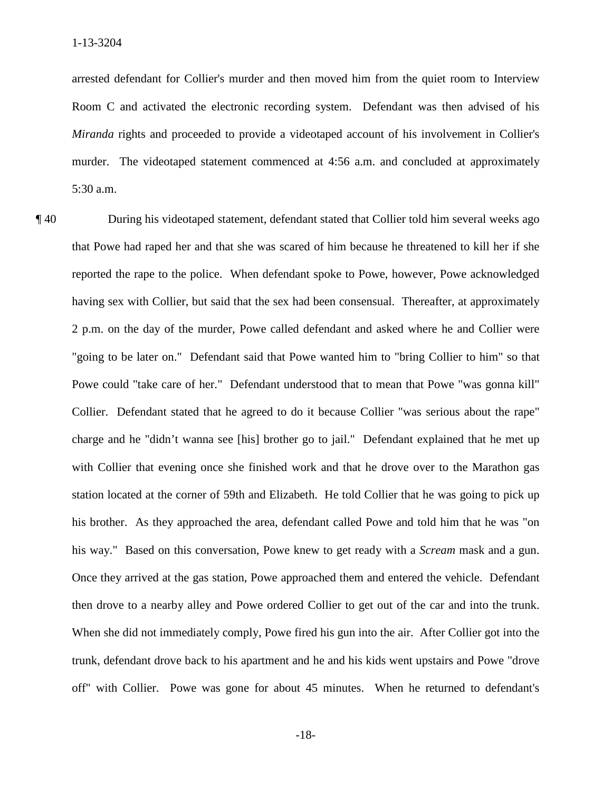arrested defendant for Collier's murder and then moved him from the quiet room to Interview Room C and activated the electronic recording system. Defendant was then advised of his *Miranda* rights and proceeded to provide a videotaped account of his involvement in Collier's murder. The videotaped statement commenced at 4:56 a.m. and concluded at approximately 5:30 a.m.

 "going to be later on." Defendant said that Powe wanted him to "bring Collier to him" so that charge and he "didn't wanna see [his] brother go to jail." Defendant explained that he met up his way." Based on this conversation, Powe knew to get ready with a *Scream* mask and a gun. then drove to a nearby alley and Powe ordered Collier to get out of the car and into the trunk. ¶ 40 During his videotaped statement, defendant stated that Collier told him several weeks ago that Powe had raped her and that she was scared of him because he threatened to kill her if she reported the rape to the police. When defendant spoke to Powe, however, Powe acknowledged having sex with Collier, but said that the sex had been consensual. Thereafter, at approximately 2 p.m. on the day of the murder, Powe called defendant and asked where he and Collier were Powe could "take care of her." Defendant understood that to mean that Powe "was gonna kill" Collier. Defendant stated that he agreed to do it because Collier "was serious about the rape" with Collier that evening once she finished work and that he drove over to the Marathon gas station located at the corner of 59th and Elizabeth. He told Collier that he was going to pick up his brother. As they approached the area, defendant called Powe and told him that he was "on Once they arrived at the gas station, Powe approached them and entered the vehicle. Defendant When she did not immediately comply, Powe fired his gun into the air. After Collier got into the trunk, defendant drove back to his apartment and he and his kids went upstairs and Powe "drove off" with Collier. Powe was gone for about 45 minutes. When he returned to defendant's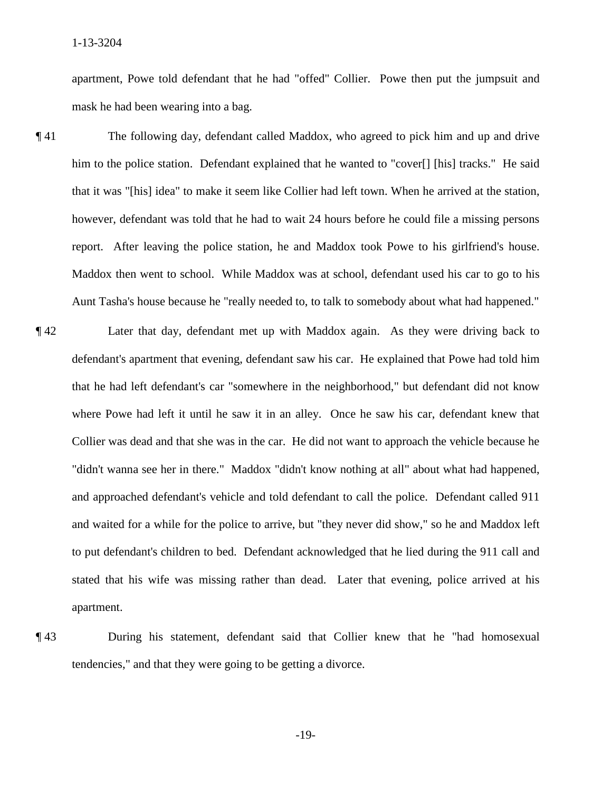apartment, Powe told defendant that he had "offed" Collier. Powe then put the jumpsuit and mask he had been wearing into a bag.

- ¶ 41 The following day, defendant called Maddox, who agreed to pick him and up and drive him to the police station. Defendant explained that he wanted to "cover[] [his] tracks." He said that it was "[his] idea" to make it seem like Collier had left town. When he arrived at the station, however, defendant was told that he had to wait 24 hours before he could file a missing persons report. After leaving the police station, he and Maddox took Powe to his girlfriend's house. Maddox then went to school. While Maddox was at school, defendant used his car to go to his
- Aunt Tasha's house because he "really needed to, to talk to somebody about what had happened."<br> **[42** Later that day, defendant met up with Maddox again. As they were driving back to and waited for a while for the police to arrive, but "they never did show," so he and Maddox left stated that his wife was missing rather than dead. Later that evening, police arrived at his apartment. defendant's apartment that evening, defendant saw his car. He explained that Powe had told him that he had left defendant's car "somewhere in the neighborhood," but defendant did not know where Powe had left it until he saw it in an alley. Once he saw his car, defendant knew that Collier was dead and that she was in the car. He did not want to approach the vehicle because he "didn't wanna see her in there." Maddox "didn't know nothing at all" about what had happened, and approached defendant's vehicle and told defendant to call the police. Defendant called 911 to put defendant's children to bed. Defendant acknowledged that he lied during the 911 call and
- tendencies," and that they were going to be getting a divorce. **143** During his statement, defendant said that Collier knew that he "had homosexual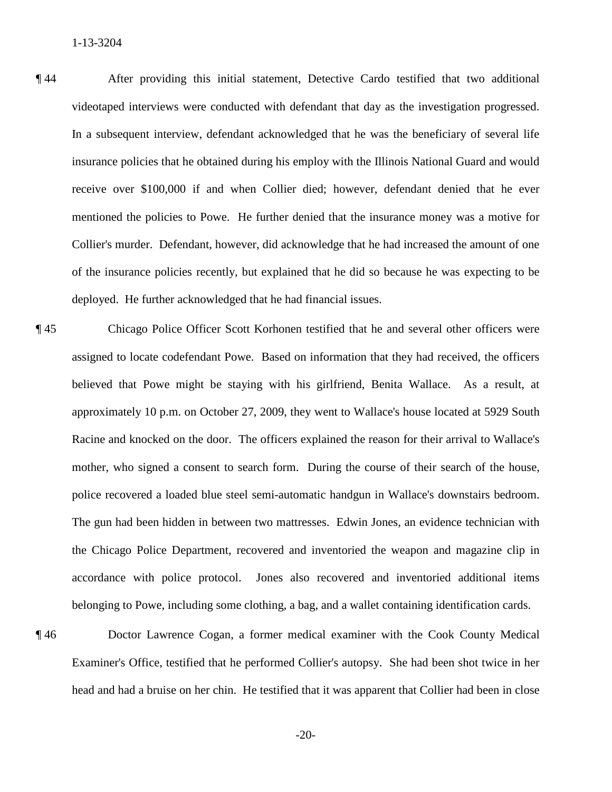¶ 44 After providing this initial statement, Detective Cardo testified that two additional videotaped interviews were conducted with defendant that day as the investigation progressed. deployed. He further acknowledged that he had financial issues. In a subsequent interview, defendant acknowledged that he was the beneficiary of several life insurance policies that he obtained during his employ with the Illinois National Guard and would receive over \$100,000 if and when Collier died; however, defendant denied that he ever mentioned the policies to Powe. He further denied that the insurance money was a motive for Collier's murder. Defendant, however, did acknowledge that he had increased the amount of one of the insurance policies recently, but explained that he did so because he was expecting to be

- mother, who signed a consent to search form. During the course of their search of the house, **f** 45 Chicago Police Officer Scott Korhonen testified that he and several other officers were assigned to locate codefendant Powe. Based on information that they had received, the officers believed that Powe might be staying with his girlfriend, Benita Wallace. As a result, at approximately 10 p.m. on October 27, 2009, they went to Wallace's house located at 5929 South Racine and knocked on the door. The officers explained the reason for their arrival to Wallace's police recovered a loaded blue steel semi-automatic handgun in Wallace's downstairs bedroom. The gun had been hidden in between two mattresses. Edwin Jones, an evidence technician with the Chicago Police Department, recovered and inventoried the weapon and magazine clip in accordance with police protocol. Jones also recovered and inventoried additional items belonging to Powe, including some clothing, a bag, and a wallet containing identification cards.
- ¶ 46 Doctor Lawrence Cogan, a former medical examiner with the Cook County Medical Examiner's Office, testified that he performed Collier's autopsy. She had been shot twice in her head and had a bruise on her chin. He testified that it was apparent that Collier had been in close

 $-20-$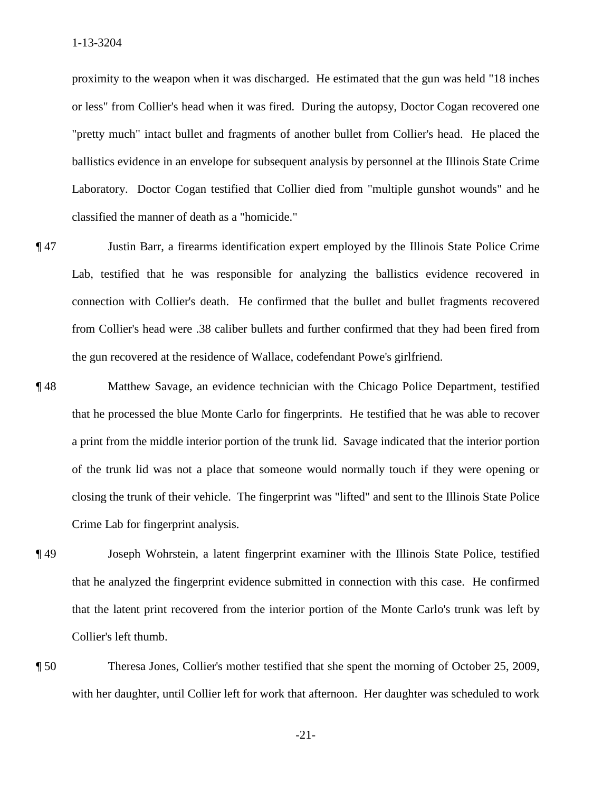ballistics evidence in an envelope for subsequent analysis by personnel at the Illinois State Crime classified the manner of death as a "homicide." proximity to the weapon when it was discharged. He estimated that the gun was held "18 inches or less" from Collier's head when it was fired. During the autopsy, Doctor Cogan recovered one "pretty much" intact bullet and fragments of another bullet from Collier's head. He placed the Laboratory. Doctor Cogan testified that Collier died from "multiple gunshot wounds" and he

- ¶ 47 Justin Barr, a firearms identification expert employed by the Illinois State Police Crime Lab, testified that he was responsible for analyzing the ballistics evidence recovered in connection with Collier's death. He confirmed that the bullet and bullet fragments recovered from Collier's head were .38 caliber bullets and further confirmed that they had been fired from the gun recovered at the residence of Wallace, codefendant Powe's girlfriend.
- that he processed the blue Monte Carlo for fingerprints. He testified that he was able to recover Crime Lab for fingerprint analysis. ¶ 48 Matthew Savage, an evidence technician with the Chicago Police Department, testified a print from the middle interior portion of the trunk lid. Savage indicated that the interior portion of the trunk lid was not a place that someone would normally touch if they were opening or closing the trunk of their vehicle. The fingerprint was "lifted" and sent to the Illinois State Police
- Collier's left thumb. ¶ 49 Joseph Wohrstein, a latent fingerprint examiner with the Illinois State Police, testified that he analyzed the fingerprint evidence submitted in connection with this case. He confirmed that the latent print recovered from the interior portion of the Monte Carlo's trunk was left by
- Theresa Jones, Collier's mother testified that she spent the morning of October 25, 2009, with her daughter, until Collier left for work that afternoon. Her daughter was scheduled to work

 $-21-$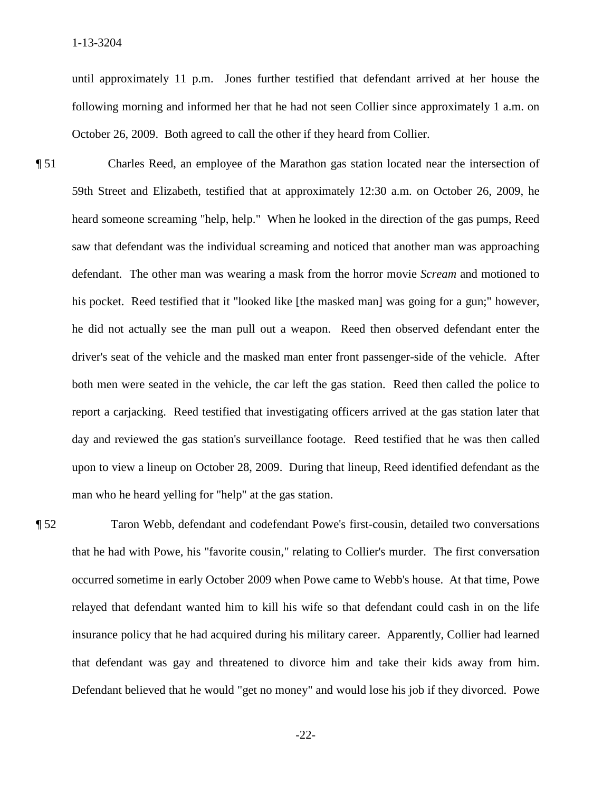until approximately 11 p.m. Jones further testified that defendant arrived at her house the following morning and informed her that he had not seen Collier since approximately 1 a.m. on October 26, 2009. Both agreed to call the other if they heard from Collier.

 his pocket. Reed testified that it "looked like [the masked man] was going for a gun;" however, day and reviewed the gas station's surveillance footage. Reed testified that he was then called ¶ 51 Charles Reed, an employee of the Marathon gas station located near the intersection of 59th Street and Elizabeth, testified that at approximately 12:30 a.m. on October 26, 2009, he heard someone screaming "help, help." When he looked in the direction of the gas pumps, Reed saw that defendant was the individual screaming and noticed that another man was approaching defendant. The other man was wearing a mask from the horror movie *Scream* and motioned to he did not actually see the man pull out a weapon. Reed then observed defendant enter the driver's seat of the vehicle and the masked man enter front passenger-side of the vehicle. After both men were seated in the vehicle, the car left the gas station. Reed then called the police to report a carjacking. Reed testified that investigating officers arrived at the gas station later that upon to view a lineup on October 28, 2009. During that lineup, Reed identified defendant as the man who he heard yelling for "help" at the gas station.

 that he had with Powe, his "favorite cousin," relating to Collier's murder. The first conversation ¶ 52 Taron Webb, defendant and codefendant Powe's first-cousin, detailed two conversations occurred sometime in early October 2009 when Powe came to Webb's house. At that time, Powe relayed that defendant wanted him to kill his wife so that defendant could cash in on the life insurance policy that he had acquired during his military career. Apparently, Collier had learned that defendant was gay and threatened to divorce him and take their kids away from him. Defendant believed that he would "get no money" and would lose his job if they divorced. Powe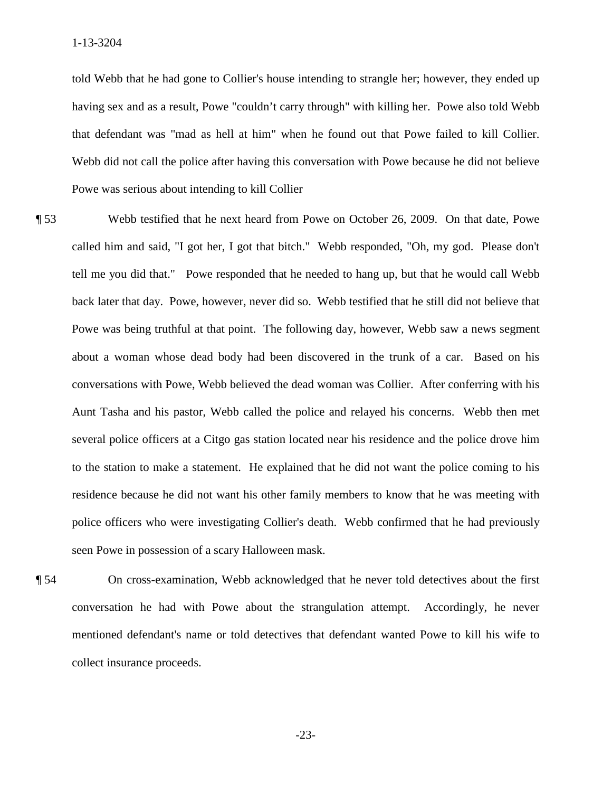told Webb that he had gone to Collier's house intending to strangle her; however, they ended up having sex and as a result, Powe "couldn't carry through" with killing her. Powe also told Webb that defendant was "mad as hell at him" when he found out that Powe failed to kill Collier. Powe was serious about intending to kill Collier Webb did not call the police after having this conversation with Powe because he did not believe.

- called him and said, "I got her, I got that bitch." Webb responded, "Oh, my god. Please don't about a woman whose dead body had been discovered in the trunk of a car. Based on his several police officers at a Citgo gas station located near his residence and the police drove him police officers who were investigating Collier's death. Webb confirmed that he had previously **Ferther** S3 Webb testified that he next heard from Powe on October 26, 2009. On that date, Powe tell me you did that." Powe responded that he needed to hang up, but that he would call Webb back later that day. Powe, however, never did so. Webb testified that he still did not believe that Powe was being truthful at that point. The following day, however, Webb saw a news segment conversations with Powe, Webb believed the dead woman was Collier. After conferring with his Aunt Tasha and his pastor, Webb called the police and relayed his concerns. Webb then met to the station to make a statement. He explained that he did not want the police coming to his residence because he did not want his other family members to know that he was meeting with seen Powe in possession of a scary Halloween mask.
- collect insurance proceeds. ¶ 54 On cross-examination, Webb acknowledged that he never told detectives about the first conversation he had with Powe about the strangulation attempt. Accordingly, he never mentioned defendant's name or told detectives that defendant wanted Powe to kill his wife to collect insurance proceeds.<br>-23-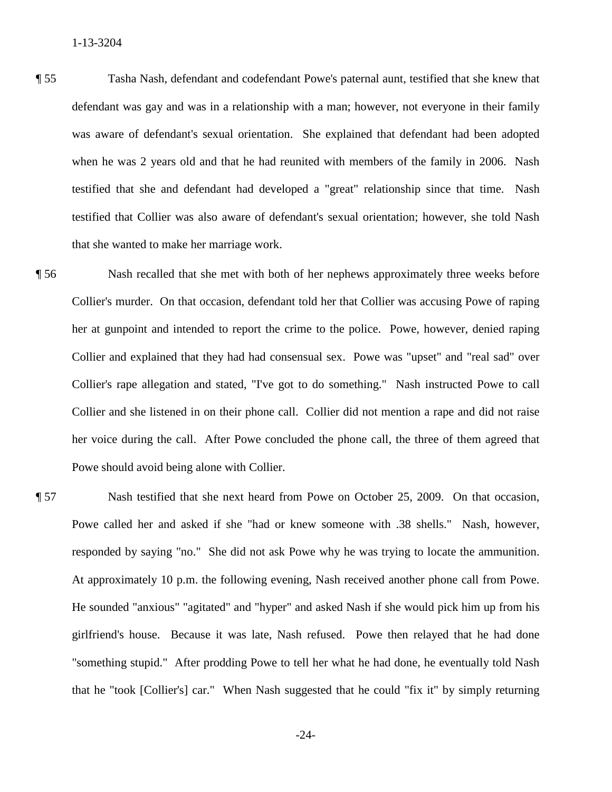- testified that she and defendant had developed a "great" relationship since that time. Nash testified that Collier was also aware of defendant's sexual orientation; however, she told Nash that she wanted to make her marriage work. ¶ 55 Tasha Nash, defendant and codefendant Powe's paternal aunt, testified that she knew that defendant was gay and was in a relationship with a man; however, not everyone in their family was aware of defendant's sexual orientation. She explained that defendant had been adopted when he was 2 years old and that he had reunited with members of the family in 2006. Nash
- Collier and she listened in on their phone call. Collier did not mention a rape and did not raise **That Shere is make her matrice work. The matrice work is made in that she met with both of her nephews approximately three weeks before** Collier's murder. On that occasion, defendant told her that Collier was accusing Powe of raping her at gunpoint and intended to report the crime to the police. Powe, however, denied raping Collier and explained that they had had consensual sex. Powe was "upset" and "real sad" over Collier's rape allegation and stated, "I've got to do something." Nash instructed Powe to call her voice during the call. After Powe concluded the phone call, the three of them agreed that Powe should avoid being alone with Collier.
- responded by saying "no." She did not ask Powe why he was trying to locate the ammunition. ¶ 57 Nash testified that she next heard from Powe on October 25, 2009. On that occasion, Powe called her and asked if she "had or knew someone with .38 shells." Nash, however, At approximately 10 p.m. the following evening, Nash received another phone call from Powe. He sounded "anxious" "agitated" and "hyper" and asked Nash if she would pick him up from his girlfriend's house. Because it was late, Nash refused. Powe then relayed that he had done "something stupid." After prodding Powe to tell her what he had done, he eventually told Nash that he "took [Collier's] car." When Nash suggested that he could "fix it" by simply returning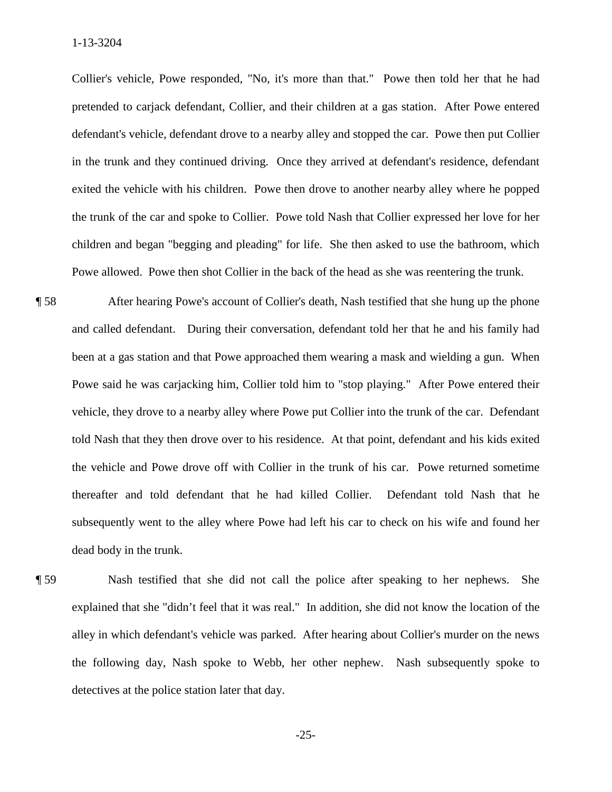in the trunk and they continued driving. Once they arrived at defendant's residence, defendant the trunk of the car and spoke to Collier. Powe told Nash that Collier expressed her love for her Collier's vehicle, Powe responded, "No, it's more than that." Powe then told her that he had pretended to carjack defendant, Collier, and their children at a gas station. After Powe entered defendant's vehicle, defendant drove to a nearby alley and stopped the car. Powe then put Collier exited the vehicle with his children. Powe then drove to another nearby alley where he popped children and began "begging and pleading" for life. She then asked to use the bathroom, which Powe allowed. Powe then shot Collier in the back of the head as she was reentering the trunk.

- been at a gas station and that Powe approached them wearing a mask and wielding a gun. When ¶ 58 After hearing Powe's account of Collier's death, Nash testified that she hung up the phone and called defendant. During their conversation, defendant told her that he and his family had Powe said he was carjacking him, Collier told him to "stop playing." After Powe entered their vehicle, they drove to a nearby alley where Powe put Collier into the trunk of the car. Defendant told Nash that they then drove over to his residence. At that point, defendant and his kids exited the vehicle and Powe drove off with Collier in the trunk of his car. Powe returned sometime thereafter and told defendant that he had killed Collier. Defendant told Nash that he subsequently went to the alley where Powe had left his car to check on his wife and found her dead body in the trunk.
- explained that she "didn't feel that it was real." In addition, she did not know the location of the the following day, Nash spoke to Webb, her other nephew. Nash subsequently spoke to ¶ 59 Nash testified that she did not call the police after speaking to her nephews. She alley in which defendant's vehicle was parked. After hearing about Collier's murder on the news detectives at the police station later that day.

 $-25-$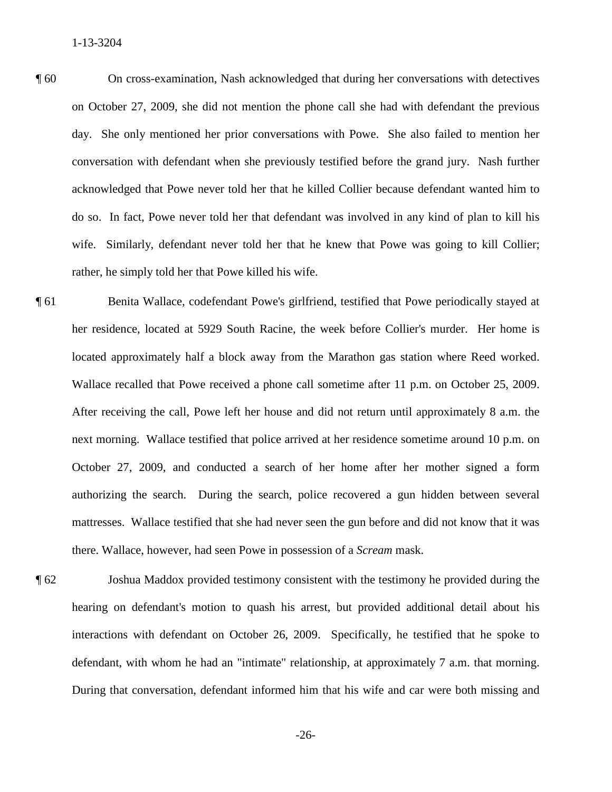day. She only mentioned her prior conversations with Powe. She also failed to mention her ¶ 60 On cross-examination, Nash acknowledged that during her conversations with detectives on October 27, 2009, she did not mention the phone call she had with defendant the previous conversation with defendant when she previously testified before the grand jury. Nash further acknowledged that Powe never told her that he killed Collier because defendant wanted him to do so. In fact, Powe never told her that defendant was involved in any kind of plan to kill his wife. Similarly, defendant never told her that he knew that Powe was going to kill Collier; rather, he simply told her that Powe killed his wife.

 October 27, 2009, and conducted a search of her home after her mother signed a form ¶ 61 Benita Wallace, codefendant Powe's girlfriend, testified that Powe periodically stayed at her residence, located at 5929 South Racine, the week before Collier's murder. Her home is located approximately half a block away from the Marathon gas station where Reed worked. Wallace recalled that Powe received a phone call sometime after 11 p.m. on October 25, 2009. After receiving the call, Powe left her house and did not return until approximately 8 a.m. the next morning. Wallace testified that police arrived at her residence sometime around 10 p.m. on authorizing the search. During the search, police recovered a gun hidden between several mattresses. Wallace testified that she had never seen the gun before and did not know that it was there. Wallace, however, had seen Powe in possession of a *Scream* mask.

 During that conversation, defendant informed him that his wife and car were both missing and ¶ 62 Joshua Maddox provided testimony consistent with the testimony he provided during the hearing on defendant's motion to quash his arrest, but provided additional detail about his interactions with defendant on October 26, 2009. Specifically, he testified that he spoke to defendant, with whom he had an "intimate" relationship, at approximately 7 a.m. that morning.

 $-26-$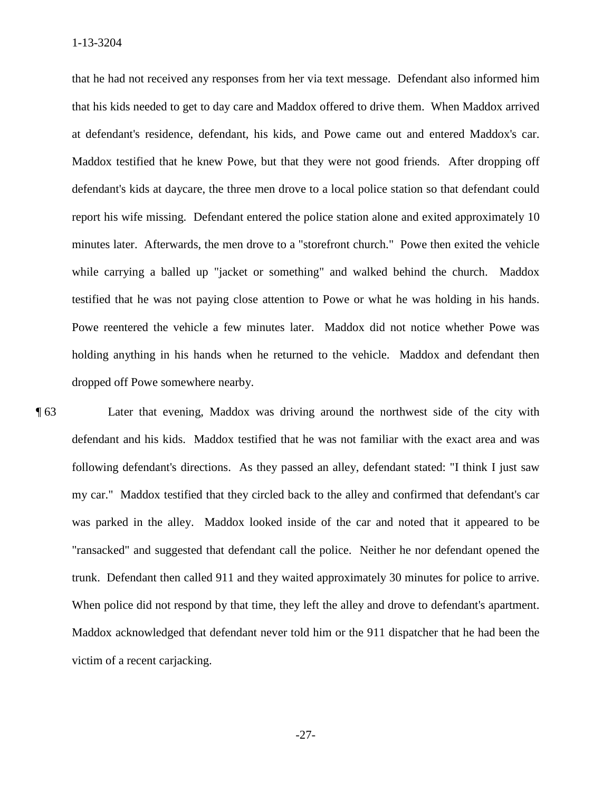1-13-3204

 that he had not received any responses from her via text message. Defendant also informed him that his kids needed to get to day care and Maddox offered to drive them. When Maddox arrived at defendant's residence, defendant, his kids, and Powe came out and entered Maddox's car. defendant's kids at daycare, the three men drove to a local police station so that defendant could minutes later. Afterwards, the men drove to a "storefront church." Powe then exited the vehicle testified that he was not paying close attention to Powe or what he was holding in his hands. Maddox testified that he knew Powe, but that they were not good friends. After dropping off report his wife missing. Defendant entered the police station alone and exited approximately 10 while carrying a balled up "jacket or something" and walked behind the church. Maddox Powe reentered the vehicle a few minutes later. Maddox did not notice whether Powe was holding anything in his hands when he returned to the vehicle. Maddox and defendant then dropped off Powe somewhere nearby.

 "ransacked" and suggested that defendant call the police. Neither he nor defendant opened the trunk. Defendant then called 911 and they waited approximately 30 minutes for police to arrive. ¶ 63 Later that evening, Maddox was driving around the northwest side of the city with defendant and his kids. Maddox testified that he was not familiar with the exact area and was following defendant's directions. As they passed an alley, defendant stated: "I think I just saw my car." Maddox testified that they circled back to the alley and confirmed that defendant's car was parked in the alley. Maddox looked inside of the car and noted that it appeared to be When police did not respond by that time, they left the alley and drove to defendant's apartment. Maddox acknowledged that defendant never told him or the 911 dispatcher that he had been the victim of a recent carjacking.

 $-27-$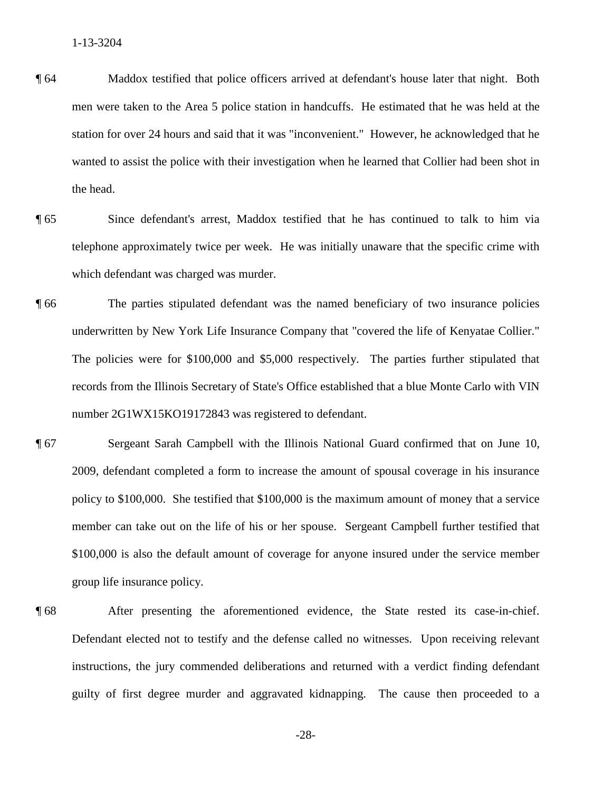- ¶ 64 Maddox testified that police officers arrived at defendant's house later that night. Both men were taken to the Area 5 police station in handcuffs. He estimated that he was held at the station for over 24 hours and said that it was "inconvenient." However, he acknowledged that he wanted to assist the police with their investigation when he learned that Collier had been shot in the head.
- ¶ 65 Since defendant's arrest, Maddox testified that he has continued to talk to him via telephone approximately twice per week. He was initially unaware that the specific crime with which defendant was charged was murder.
- records from the Illinois Secretary of State's Office established that a blue Monte Carlo with VIN ¶ 66 The parties stipulated defendant was the named beneficiary of two insurance policies underwritten by New York Life Insurance Company that "covered the life of Kenyatae Collier." The policies were for \$100,000 and \$5,000 respectively. The parties further stipulated that number 2G1WX15KO19172843 was registered to defendant.
- policy to \$100,000. She testified that \$100,000 is the maximum amount of money that a service ¶ 67 Sergeant Sarah Campbell with the Illinois National Guard confirmed that on June 10, 2009, defendant completed a form to increase the amount of spousal coverage in his insurance member can take out on the life of his or her spouse. Sergeant Campbell further testified that \$100,000 is also the default amount of coverage for anyone insured under the service member group life insurance policy.
- After presenting the aforementioned evidence, the State rested its case-in-chief. ¶ 68 After presenting the aforementioned evidence, the State rested its case-in-chief. Defendant elected not to testify and the defense called no witnesses. Upon receiving relevant instructions, the jury commended deliberations and returned with a verdict finding defendant guilty of first degree murder and aggravated kidnapping. The cause then proceeded to a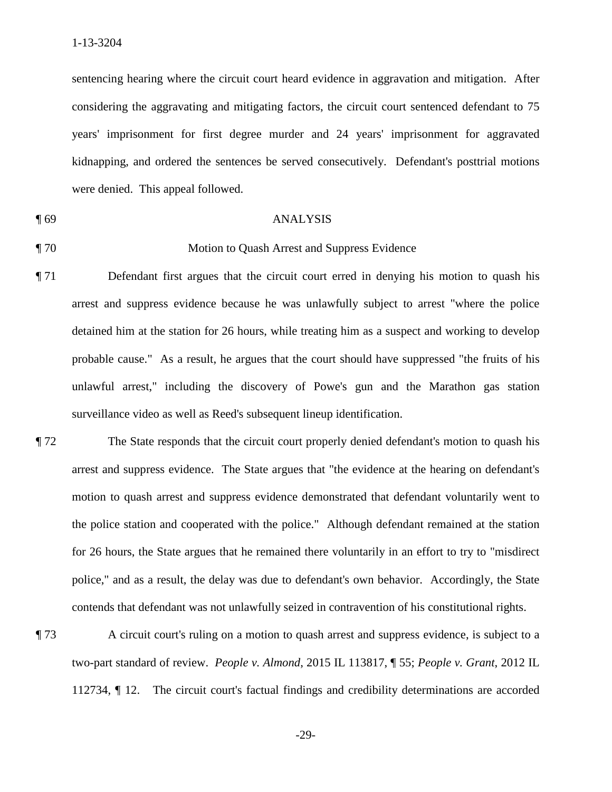considering the aggravating and mitigating factors, the circuit court sentenced defendant to 75 sentencing hearing where the circuit court heard evidence in aggravation and mitigation. After years' imprisonment for first degree murder and 24 years' imprisonment for aggravated kidnapping, and ordered the sentences be served consecutively. Defendant's posttrial motions were denied. This appeal followed.

### ¶ 69 ANALYSIS

### ¶ 70 Motion to Quash Arrest and Suppress Evidence

- probable cause." As a result, he argues that the court should have suppressed "the fruits of his ¶ 71 Defendant first argues that the circuit court erred in denying his motion to quash his arrest and suppress evidence because he was unlawfully subject to arrest "where the police detained him at the station for 26 hours, while treating him as a suspect and working to develop unlawful arrest," including the discovery of Powe's gun and the Marathon gas station surveillance video as well as Reed's subsequent lineup identification.
- arrest and suppress evidence. The State argues that "the evidence at the hearing on defendant's ¶ 72 The State responds that the circuit court properly denied defendant's motion to quash his motion to quash arrest and suppress evidence demonstrated that defendant voluntarily went to the police station and cooperated with the police." Although defendant remained at the station for 26 hours, the State argues that he remained there voluntarily in an effort to try to "misdirect police," and as a result, the delay was due to defendant's own behavior. Accordingly, the State contends that defendant was not unlawfully seized in contravention of his constitutional rights.
- ¶ 73 A circuit court's ruling on a motion to quash arrest and suppress evidence, is subject to a two-part standard of review. *People v. Almond*, 2015 IL 113817, ¶ 55; *People v. Grant*, 2012 IL 112734, ¶ 12. The circuit court's factual findings and credibility determinations are accorded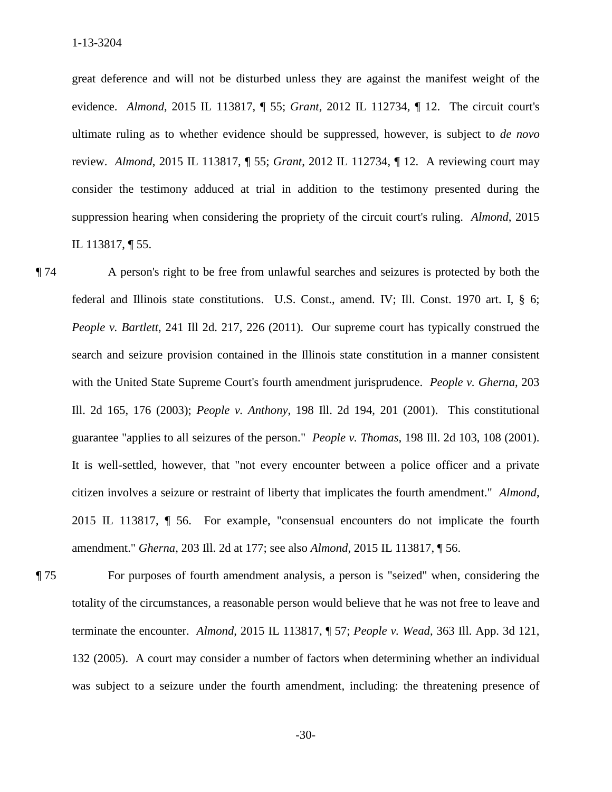great deference and will not be disturbed unless they are against the manifest weight of the evidence. *Almond*, 2015 IL 113817, ¶ 55; *Grant*, 2012 IL 112734, ¶ 12. The circuit court's review. *Almond*, 2015 IL 113817, ¶ 55; *Grant*, 2012 IL 112734, ¶ 12. A reviewing court may suppression hearing when considering the propriety of the circuit court's ruling. *Almond*, 2015 ultimate ruling as to whether evidence should be suppressed, however, is subject to *de novo*  consider the testimony adduced at trial in addition to the testimony presented during the IL 113817, ¶ 55.

 *People v. Bartlett*, 241 Ill 2d. 217, 226 (2011). Our supreme court has typically construed the Ill. 2d 165, 176 (2003); *People v. Anthony*, 198 Ill. 2d 194, 201 (2001). This constitutional guarantee "applies to all seizures of the person." *People v. Thomas*, 198 Ill. 2d 103, 108 (2001). citizen involves a seizure or restraint of liberty that implicates the fourth amendment." *Almond*, 2015 IL 113817, ¶ 56. For example, "consensual encounters do not implicate the fourth ¶ 74 A person's right to be free from unlawful searches and seizures is protected by both the federal and Illinois state constitutions. U.S. Const., amend. IV; Ill. Const. 1970 art. I, § 6; search and seizure provision contained in the Illinois state constitution in a manner consistent with the United State Supreme Court's fourth amendment jurisprudence. *People v. Gherna*, 203 It is well-settled, however, that "not every encounter between a police officer and a private amendment." *Gherna*, 203 Ill. 2d at 177; see also *Almond*, 2015 IL 113817, ¶ 56.

¶ 75 For purposes of fourth amendment analysis, a person is "seized" when, considering the totality of the circumstances, a reasonable person would believe that he was not free to leave and terminate the encounter. *Almond*, 2015 IL 113817, ¶ 57; *People v. Wead*, 363 Ill. App. 3d 121, 132 (2005). A court may consider a number of factors when determining whether an individual was subject to a seizure under the fourth amendment, including: the threatening presence of

 $-30-$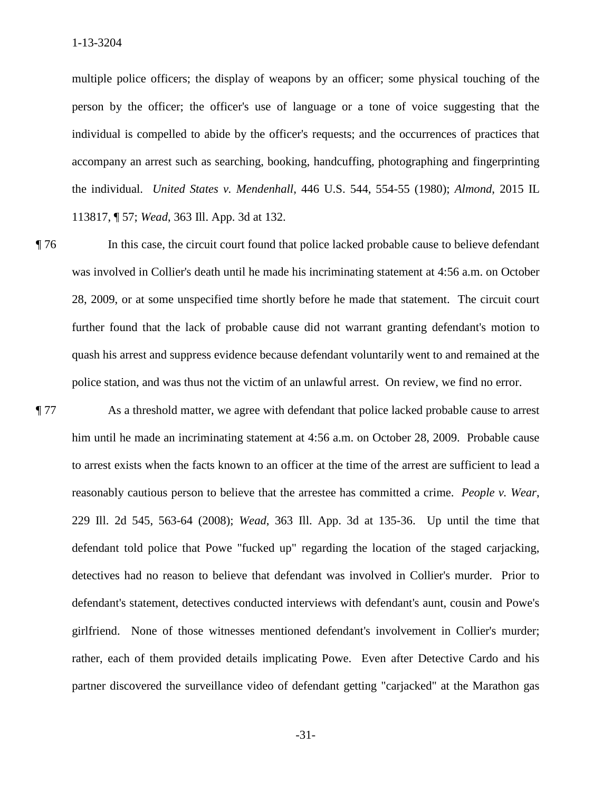113817, ¶ 57; *Wead*, 363 Ill. App. 3d at 132. multiple police officers; the display of weapons by an officer; some physical touching of the person by the officer; the officer's use of language or a tone of voice suggesting that the individual is compelled to abide by the officer's requests; and the occurrences of practices that accompany an arrest such as searching, booking, handcuffing, photographing and fingerprinting the individual. *United States v. Mendenhall*, 446 U.S. 544, 554-55 (1980); *Almond*, 2015 IL

 further found that the lack of probable cause did not warrant granting defendant's motion to ¶ 76 In this case, the circuit court found that police lacked probable cause to believe defendant was involved in Collier's death until he made his incriminating statement at 4:56 a.m. on October 28, 2009, or at some unspecified time shortly before he made that statement. The circuit court quash his arrest and suppress evidence because defendant voluntarily went to and remained at the police station, and was thus not the victim of an unlawful arrest. On review, we find no error.

 reasonably cautious person to believe that the arrestee has committed a crime. *People v. Wear*, defendant told police that Powe "fucked up" regarding the location of the staged carjacking, ¶ 77 As a threshold matter, we agree with defendant that police lacked probable cause to arrest him until he made an incriminating statement at 4:56 a.m. on October 28, 2009. Probable cause to arrest exists when the facts known to an officer at the time of the arrest are sufficient to lead a 229 Ill. 2d 545, 563-64 (2008); *Wead*, 363 Ill. App. 3d at 135-36. Up until the time that detectives had no reason to believe that defendant was involved in Collier's murder. Prior to defendant's statement, detectives conducted interviews with defendant's aunt, cousin and Powe's girlfriend. None of those witnesses mentioned defendant's involvement in Collier's murder; rather, each of them provided details implicating Powe. Even after Detective Cardo and his partner discovered the surveillance video of defendant getting "carjacked" at the Marathon gas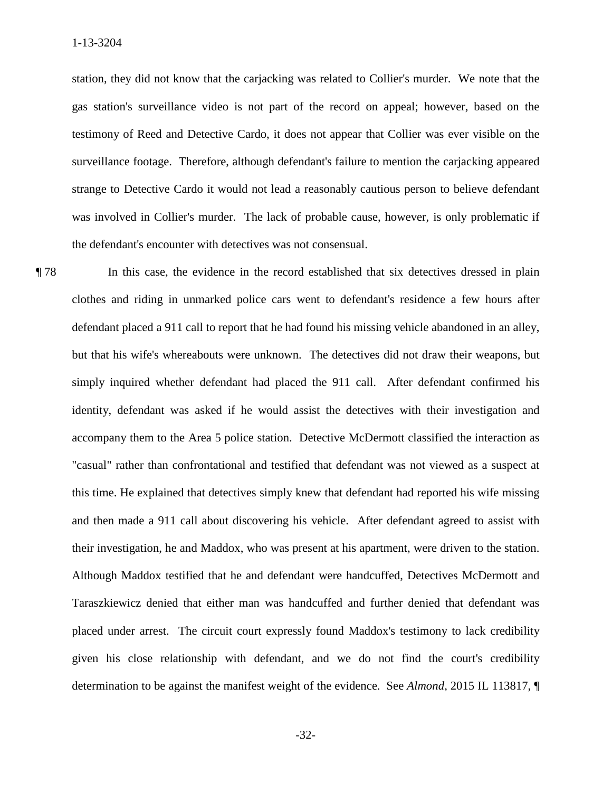was involved in Collier's murder. The lack of probable cause, however, is only problematic if station, they did not know that the carjacking was related to Collier's murder. We note that the gas station's surveillance video is not part of the record on appeal; however, based on the testimony of Reed and Detective Cardo, it does not appear that Collier was ever visible on the surveillance footage. Therefore, although defendant's failure to mention the carjacking appeared strange to Detective Cardo it would not lead a reasonably cautious person to believe defendant the defendant's encounter with detectives was not consensual.

 and then made a 911 call about discovering his vehicle. After defendant agreed to assist with their investigation, he and Maddox, who was present at his apartment, were driven to the station. determination to be against the manifest weight of the evidence. See *Almond*, 2015 IL 113817, ¶ ¶ 78 In this case, the evidence in the record established that six detectives dressed in plain clothes and riding in unmarked police cars went to defendant's residence a few hours after defendant placed a 911 call to report that he had found his missing vehicle abandoned in an alley, but that his wife's whereabouts were unknown. The detectives did not draw their weapons, but simply inquired whether defendant had placed the 911 call. After defendant confirmed his identity, defendant was asked if he would assist the detectives with their investigation and accompany them to the Area 5 police station. Detective McDermott classified the interaction as "casual" rather than confrontational and testified that defendant was not viewed as a suspect at this time. He explained that detectives simply knew that defendant had reported his wife missing Although Maddox testified that he and defendant were handcuffed, Detectives McDermott and Taraszkiewicz denied that either man was handcuffed and further denied that defendant was placed under arrest. The circuit court expressly found Maddox's testimony to lack credibility given his close relationship with defendant, and we do not find the court's credibility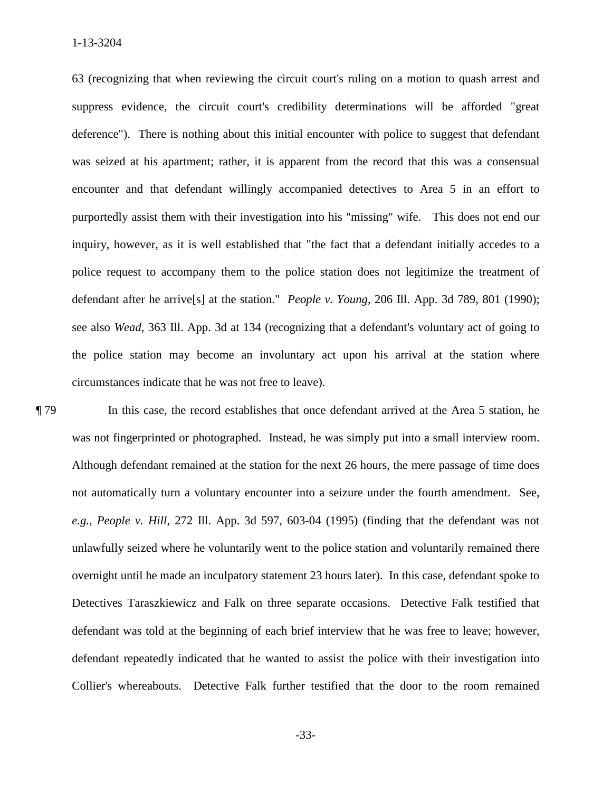63 (recognizing that when reviewing the circuit court's ruling on a motion to quash arrest and deference"). There is nothing about this initial encounter with police to suggest that defendant purportedly assist them with their investigation into his "missing" wife. This does not end our defendant after he arrive[s] at the station." *People v. Young*, 206 Ill. App. 3d 789, 801 (1990); suppress evidence, the circuit court's credibility determinations will be afforded "great was seized at his apartment; rather, it is apparent from the record that this was a consensual encounter and that defendant willingly accompanied detectives to Area 5 in an effort to inquiry, however, as it is well established that "the fact that a defendant initially accedes to a police request to accompany them to the police station does not legitimize the treatment of see also *Wead*, 363 Ill. App. 3d at 134 (recognizing that a defendant's voluntary act of going to the police station may become an involuntary act upon his arrival at the station where circumstances indicate that he was not free to leave).

was not fingerprinted or photographed. Instead, he was simply put into a small interview room. not automatically turn a voluntary encounter into a seizure under the fourth amendment. See, *e.g., People v. Hill*, 272 Ill. App. 3d 597, 603-04 (1995) (finding that the defendant was not defendant was told at the beginning of each brief interview that he was free to leave; however, defendant repeatedly indicated that he wanted to assist the police with their investigation into Collier's whereabouts. Detective Falk further testified that the door to the room remained ¶ 79 In this case, the record establishes that once defendant arrived at the Area 5 station, he Although defendant remained at the station for the next 26 hours, the mere passage of time does unlawfully seized where he voluntarily went to the police station and voluntarily remained there overnight until he made an inculpatory statement 23 hours later). In this case, defendant spoke to Detectives Taraszkiewicz and Falk on three separate occasions. Detective Falk testified that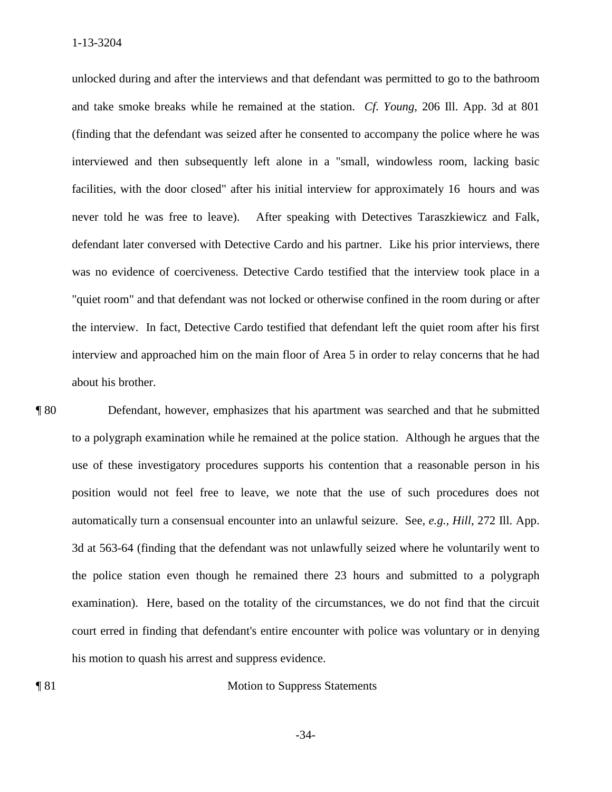and take smoke breaks while he remained at the station. *Cf. Young*, 206 Ill. App. 3d at 801 facilities, with the door closed" after his initial interview for approximately 16 hours and was never told he was free to leave). After speaking with Detectives Taraszkiewicz and Falk, defendant later conversed with Detective Cardo and his partner. Like his prior interviews, there the interview. In fact, Detective Cardo testified that defendant left the quiet room after his first unlocked during and after the interviews and that defendant was permitted to go to the bathroom (finding that the defendant was seized after he consented to accompany the police where he was interviewed and then subsequently left alone in a "small, windowless room, lacking basic was no evidence of coerciveness. Detective Cardo testified that the interview took place in a "quiet room" and that defendant was not locked or otherwise confined in the room during or after interview and approached him on the main floor of Area 5 in order to relay concerns that he had about his brother.

 ¶ 80 Defendant, however, emphasizes that his apartment was searched and that he submitted to a polygraph examination while he remained at the police station. Although he argues that the 3d at 563-64 (finding that the defendant was not unlawfully seized where he voluntarily went to examination). Here, based on the totality of the circumstances, we do not find that the circuit use of these investigatory procedures supports his contention that a reasonable person in his position would not feel free to leave, we note that the use of such procedures does not automatically turn a consensual encounter into an unlawful seizure. See, *e.g., Hill*, 272 Ill. App. the police station even though he remained there 23 hours and submitted to a polygraph court erred in finding that defendant's entire encounter with police was voluntary or in denying his motion to quash his arrest and suppress evidence.

¶ 81 Motion to Suppress Statements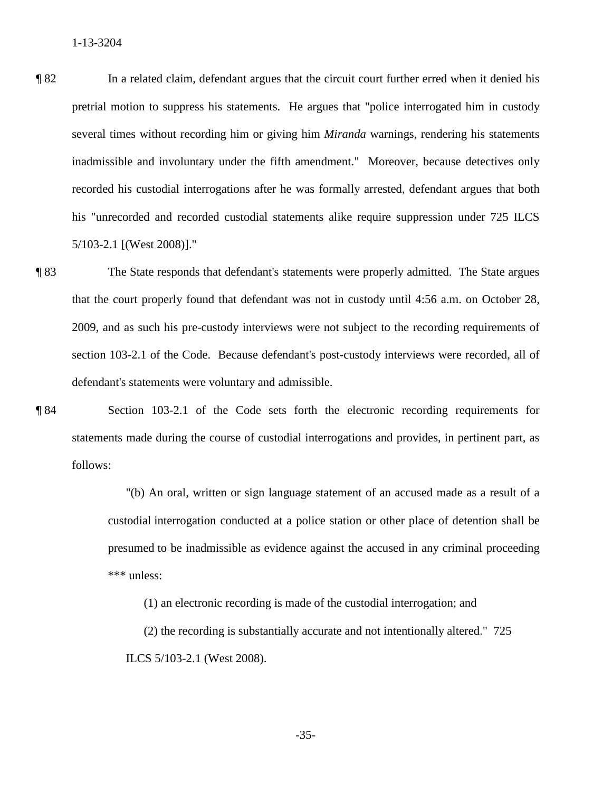¶ 82 In a related claim, defendant argues that the circuit court further erred when it denied his several times without recording him or giving him *Miranda* warnings, rendering his statements inadmissible and involuntary under the fifth amendment." Moreover, because detectives only  $5/103 - 2.1$  [(West 2008)]." 5/103-2.1 [(West 2008)]." ¶ 83 The State responds that defendant's statements were properly admitted. The State argues pretrial motion to suppress his statements. He argues that "police interrogated him in custody recorded his custodial interrogations after he was formally arrested, defendant argues that both his "unrecorded and recorded custodial statements alike require suppression under 725 ILCS

 2009, and as such his pre-custody interviews were not subject to the recording requirements of that the court properly found that defendant was not in custody until 4:56 a.m. on October 28, section 103-2.1 of the Code. Because defendant's post-custody interviews were recorded, all of defendant's statements were voluntary and admissible.

¶ 84 Section 103-2.1 of the Code sets forth the electronic recording requirements for statements made during the course of custodial interrogations and provides, in pertinent part, as follows:

> "(b) An oral, written or sign language statement of an accused made as a result of a custodial interrogation conducted at a police station or other place of detention shall be presumed to be inadmissible as evidence against the accused in any criminal proceeding \*\*\* unless:

(1) an electronic recording is made of the custodial interrogation; and

(2) the recording is substantially accurate and not intentionally altered." 725 ILCS 5/103-2.1 (West 2008).

 $-35-$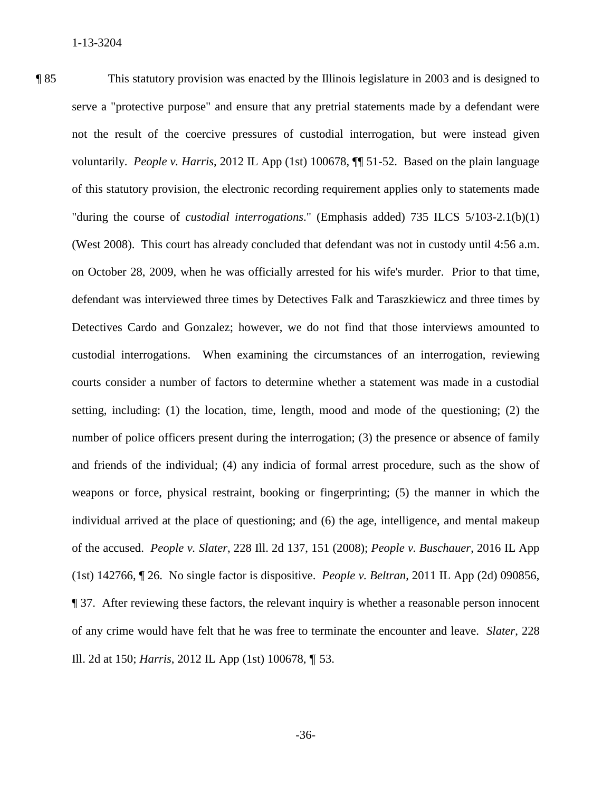voluntarily. *People v. Harris*, 2012 IL App (1st) 100678, ¶¶ 51-52. Based on the plain language on October 28, 2009, when he was officially arrested for his wife's murder. Prior to that time, number of police officers present during the interrogation; (3) the presence or absence of family of the accused. *People v. Slater*, 228 Ill. 2d 137, 151 (2008); *People v. Buschauer*, 2016 IL App (1st) 142766, ¶ 26. No single factor is dispositive. *People v. Beltran*, 2011 IL App (2d) 090856, ¶ 37. After reviewing these factors, the relevant inquiry is whether a reasonable person innocent ¶ 85 This statutory provision was enacted by the Illinois legislature in 2003 and is designed to serve a "protective purpose" and ensure that any pretrial statements made by a defendant were not the result of the coercive pressures of custodial interrogation, but were instead given of this statutory provision, the electronic recording requirement applies only to statements made "during the course of *custodial interrogations*." (Emphasis added) 735 ILCS 5/103-2.1(b)(1) (West 2008). This court has already concluded that defendant was not in custody until 4:56 a.m. defendant was interviewed three times by Detectives Falk and Taraszkiewicz and three times by Detectives Cardo and Gonzalez; however, we do not find that those interviews amounted to custodial interrogations. When examining the circumstances of an interrogation, reviewing courts consider a number of factors to determine whether a statement was made in a custodial setting, including: (1) the location, time, length, mood and mode of the questioning; (2) the and friends of the individual; (4) any indicia of formal arrest procedure, such as the show of weapons or force, physical restraint, booking or fingerprinting; (5) the manner in which the individual arrived at the place of questioning; and (6) the age, intelligence, and mental makeup of any crime would have felt that he was free to terminate the encounter and leave. *Slater*, 228 Ill. 2d at 150; *Harris*, 2012 IL App (1st) 100678, ¶ 53.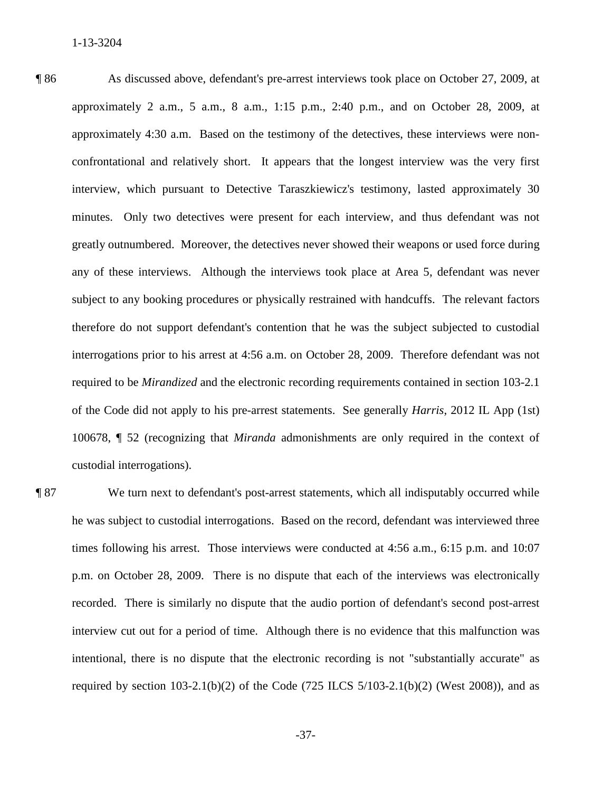confrontational and relatively short. It appears that the longest interview was the very first any of these interviews. Although the interviews took place at Area 5, defendant was never subject to any booking procedures or physically restrained with handcuffs. The relevant factors of the Code did not apply to his pre-arrest statements. See generally *Harris*, 2012 IL App (1st) custodial interrogations). ¶ 86 As discussed above, defendant's pre-arrest interviews took place on October 27, 2009, at approximately 2 a.m., 5 a.m., 8 a.m., 1:15 p.m., 2:40 p.m., and on October 28, 2009, at approximately 4:30 a.m. Based on the testimony of the detectives, these interviews were noninterview, which pursuant to Detective Taraszkiewicz's testimony, lasted approximately 30 minutes. Only two detectives were present for each interview, and thus defendant was not greatly outnumbered. Moreover, the detectives never showed their weapons or used force during therefore do not support defendant's contention that he was the subject subjected to custodial interrogations prior to his arrest at 4:56 a.m. on October 28, 2009. Therefore defendant was not required to be *Mirandized* and the electronic recording requirements contained in section 103-2.1 100678, ¶ 52 (recognizing that *Miranda* admonishments are only required in the context of

 p.m. on October 28, 2009. There is no dispute that each of the interviews was electronically intentional, there is no dispute that the electronic recording is not "substantially accurate" as **Text** We turn next to defendant's post-arrest statements, which all indisputably occurred while he was subject to custodial interrogations. Based on the record, defendant was interviewed three times following his arrest. Those interviews were conducted at 4:56 a.m., 6:15 p.m. and 10:07 recorded. There is similarly no dispute that the audio portion of defendant's second post-arrest interview cut out for a period of time. Although there is no evidence that this malfunction was required by section 103-2.1(b)(2) of the Code (725 ILCS  $5/103-2.1(b)(2)$  (West 2008)), and as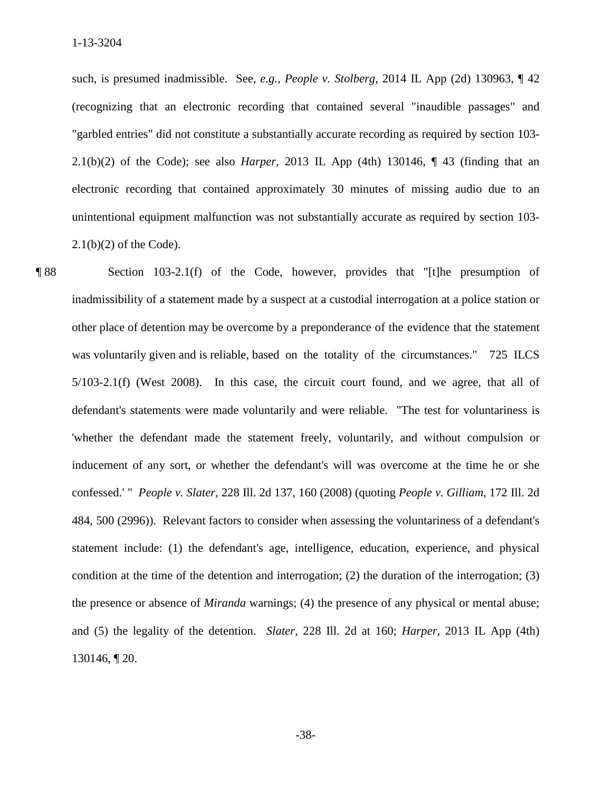such, is presumed inadmissible. See, *e.g., People v. Stolberg*, 2014 IL App (2d) 130963, ¶ 42 (recognizing that an electronic recording that contained several "inaudible passages" and "garbled entries" did not constitute a substantially accurate recording as required by section 103 2.1(b)(2) of the Code); see also *Harper*, 2013 IL App (4th) 130146, ¶ 43 (finding that an electronic recording that contained approximately 30 minutes of missing audio due to an unintentional equipment malfunction was not substantially accurate as required by section 103  $2.1(b)(2)$  of the Code).

 inducement of any sort, or whether the defendant's will was overcome at the time he or she confessed.' " *People v. Slater*, 228 Ill. 2d 137, 160 (2008) (quoting *People v. Gilliam*, 172 Ill. 2d ¶ 88 Section 103-2.1(f) of the Code, however, provides that "[t]he presumption of inadmissibility of a statement made by a suspect at a custodial interrogation at a police station or other place of detention may be overcome by a preponderance of the evidence that the statement was voluntarily given and is reliable, based on the totality of the circumstances." 725 ILCS 5/103-2.1(f) (West 2008). In this case, the circuit court found, and we agree, that all of defendant's statements were made voluntarily and were reliable. "The test for voluntariness is 'whether the defendant made the statement freely, voluntarily, and without compulsion or 484, 500 (2996)). Relevant factors to consider when assessing the voluntariness of a defendant's statement include: (1) the defendant's age, intelligence, education, experience, and physical condition at the time of the detention and interrogation; (2) the duration of the interrogation; (3) the presence or absence of *Miranda* warnings; (4) the presence of any physical or mental abuse; and (5) the legality of the detention. *Slater*, 228 Ill. 2d at 160; *Harper*, 2013 IL App (4th) 130146, ¶ 20.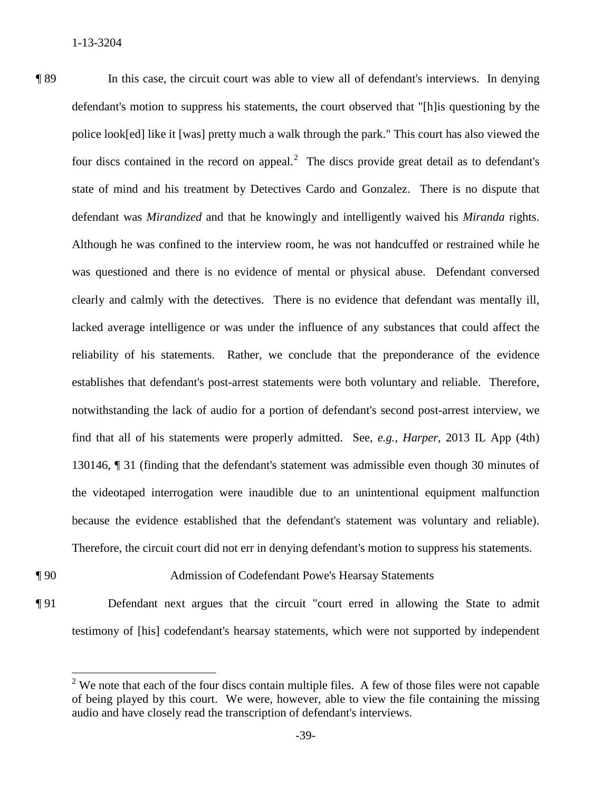¶ 89 In this case, the circuit court was able to view all of defendant's interviews. In denying defendant was *Mirandized* and that he knowingly and intelligently waived his *Miranda* rights. clearly and calmly with the detectives. There is no evidence that defendant was mentally ill, lacked average intelligence or was under the influence of any substances that could affect the because the evidence established that the defendant's statement was voluntary and reliable). Therefore, the circuit court did not err in denying defendant's motion to suppress his statements. defendant's motion to suppress his statements, the court observed that "[h]is questioning by the police look[ed] like it [was] pretty much a walk through the park." This court has also viewed the four discs contained in the record on appeal.<sup>2</sup> The discs provide great detail as to defendant's state of mind and his treatment by Detectives Cardo and Gonzalez. There is no dispute that Although he was confined to the interview room, he was not handcuffed or restrained while he was questioned and there is no evidence of mental or physical abuse. Defendant conversed reliability of his statements. Rather, we conclude that the preponderance of the evidence establishes that defendant's post-arrest statements were both voluntary and reliable. Therefore, notwithstanding the lack of audio for a portion of defendant's second post-arrest interview, we find that all of his statements were properly admitted. See, *e.g., Harper*, 2013 IL App (4th) 130146, ¶ 31 (finding that the defendant's statement was admissible even though 30 minutes of the videotaped interrogation were inaudible due to an unintentional equipment malfunction

# ¶ 90 Admission of Codefendant Powe's Hearsay Statements

 $\overline{a}$ 

¶ 91 Defendant next argues that the circuit "court erred in allowing the State to admit testimony of [his] codefendant's hearsay statements, which were not supported by independent

 $2$  We note that each of the four discs contain multiple files. A few of those files were not capable of being played by this court. We were, however, able to view the file containing the missing audio and have closely read the transcription of defendant's interviews.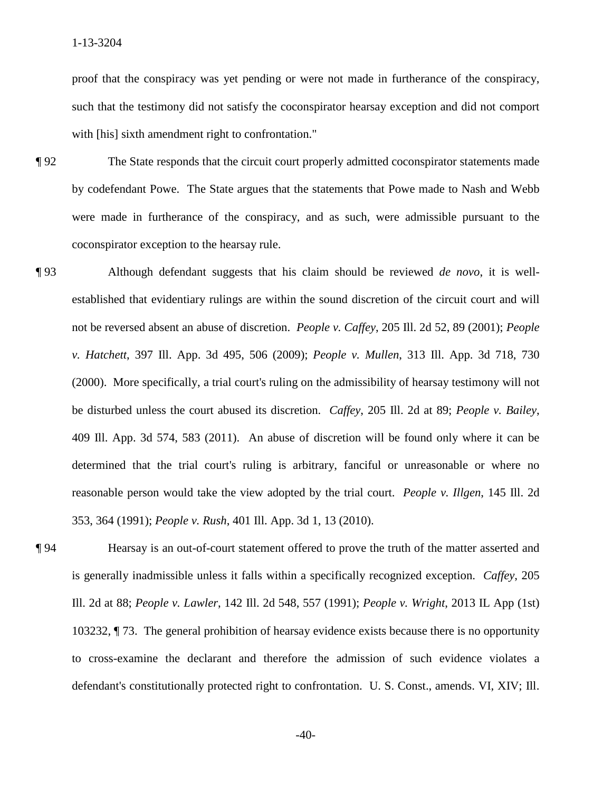proof that the conspiracy was yet pending or were not made in furtherance of the conspiracy, with [his] sixth amendment right to confrontation." such that the testimony did not satisfy the coconspirator hearsay exception and did not comport

- **The State responds that the circuit court properly admitted coconspirator statements made** by codefendant Powe. The State argues that the statements that Powe made to Nash and Webb were made in furtherance of the conspiracy, and as such, were admissible pursuant to the coconspirator exception to the hearsay rule.
- ¶ 93 Although defendant suggests that his claim should be reviewed *de novo*, it is wellestablished that evidentiary rulings are within the sound discretion of the circuit court and will not be reversed absent an abuse of discretion. *People v. Caffey*, 205 Ill. 2d 52, 89 (2001); *People v. Hatchett*, 397 Ill. App. 3d 495, 506 (2009); *People v. Mullen*, 313 Ill. App. 3d 718, 730 (2000). More specifically, a trial court's ruling on the admissibility of hearsay testimony will not be disturbed unless the court abused its discretion. *Caffey*, 205 Ill. 2d at 89; *People v. Bailey*, 409 Ill. App. 3d 574, 583 (2011). An abuse of discretion will be found only where it can be determined that the trial court's ruling is arbitrary, fanciful or unreasonable or where no reasonable person would take the view adopted by the trial court. *People v. Illgen*, 145 Ill. 2d 353, 364 (1991); *People v. Rush*, 401 Ill. App. 3d 1, 13 (2010).
- ¶ 94 Hearsay is an out-of-court statement offered to prove the truth of the matter asserted and is generally inadmissible unless it falls within a specifically recognized exception. *Caffey*, 205 103232, ¶ 73. The general prohibition of hearsay evidence exists because there is no opportunity defendant's constitutionally protected right to confrontation. U. S. Const., amends. VI, XIV; Ill. Ill. 2d at 88; *People v. Lawler*, 142 Ill. 2d 548, 557 (1991); *People v. Wright*, 2013 IL App (1st) to cross-examine the declarant and therefore the admission of such evidence violates a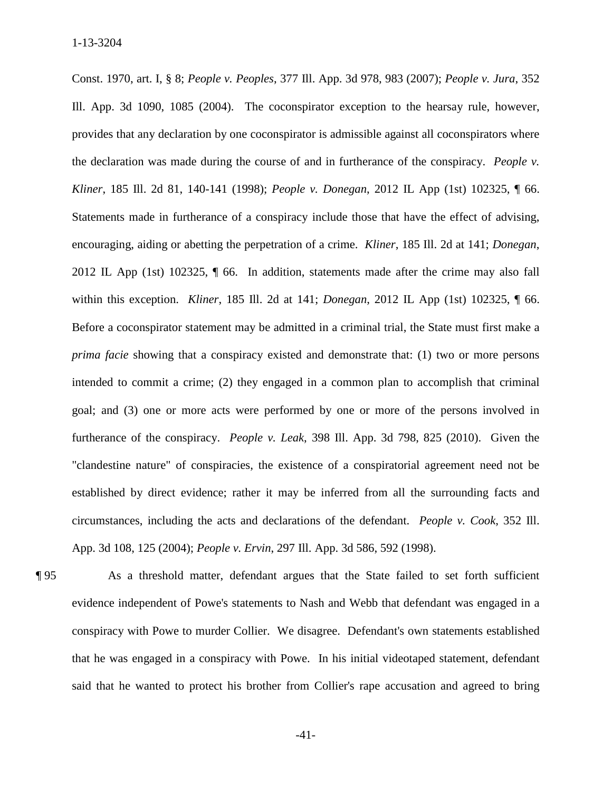Kliner, 185 Ill. 2d 81, 140-141 (1998); People v. Donegan, 2012 IL App (1st) 102325, 1 66. *Kliner*, 185 Ill. 2d 81, 140-141 (1998); *People v. Donegan*, 2012 IL App (1st) 102325, ¶ 66. Statements made in furtherance of a conspiracy include those that have the effect of advising, encouraging, aiding or abetting the perpetration of a crime. *Kliner*, 185 Ill. 2d at 141; *Donegan*, 2012 IL App (1st) 102325, ¶ 66. In addition, statements made after the crime may also fall within this exception. *Kliner*, 185 Ill. 2d at 141; *Donegan*, 2012 IL App (1st) 102325, ¶ 66. furtherance of the conspiracy. *People v. Leak*, 398 Ill. App. 3d 798, 825 (2010). Given the App. 3d 108, 125 (2004); *People v. Ervin*, 297 Ill. App. 3d 586, 592 (1998). Const. 1970, art. I, § 8; *People v. Peoples*, 377 Ill. App. 3d 978, 983 (2007); *People v. Jura*, 352 Ill. App. 3d 1090, 1085 (2004). The coconspirator exception to the hearsay rule, however, provides that any declaration by one coconspirator is admissible against all coconspirators where the declaration was made during the course of and in furtherance of the conspiracy. *People v.*  Before a coconspirator statement may be admitted in a criminal trial, the State must first make a *prima facie* showing that a conspiracy existed and demonstrate that: (1) two or more persons intended to commit a crime; (2) they engaged in a common plan to accomplish that criminal goal; and (3) one or more acts were performed by one or more of the persons involved in "clandestine nature" of conspiracies, the existence of a conspiratorial agreement need not be established by direct evidence; rather it may be inferred from all the surrounding facts and circumstances, including the acts and declarations of the defendant. *People v. Cook*, 352 Ill.

App. 3d 108, 125 (2004); *People v. Ervin*, 297 Ill. App. 3d 586, 592 (1998).<br> **[95** As a threshold matter, defendant argues that the State failed to set forth sufficient conspiracy with Powe to murder Collier. We disagree. Defendant's own statements established that he was engaged in a conspiracy with Powe. In his initial videotaped statement, defendant evidence independent of Powe's statements to Nash and Webb that defendant was engaged in a said that he wanted to protect his brother from Collier's rape accusation and agreed to bring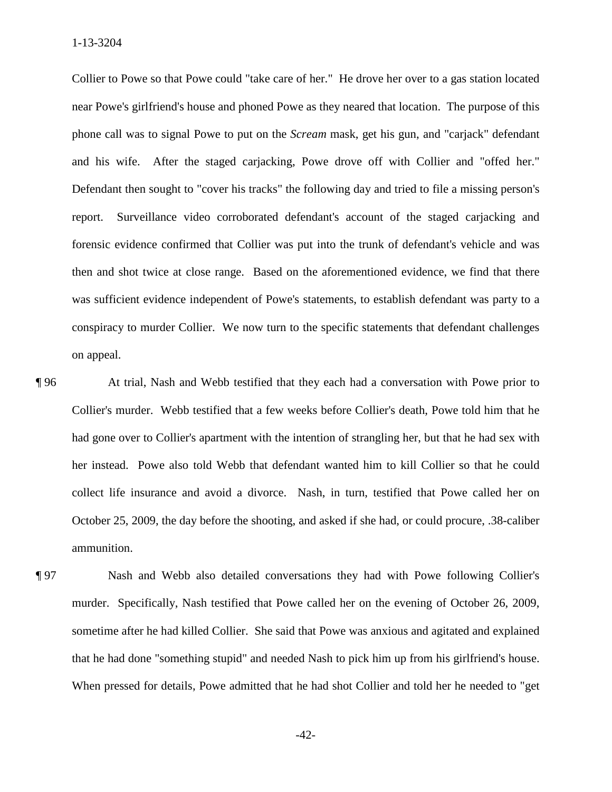1-13-3204

 Collier to Powe so that Powe could "take care of her." He drove her over to a gas station located and his wife. After the staged carjacking, Powe drove off with Collier and "offed her." and his wife. After the staged carjacking, Powe drove off with Collier and "offed her."<br>Defendant then sought to "cover his tracks" the following day and tried to file a missing person's then and shot twice at close range. Based on the aforementioned evidence, we find that there conspiracy to murder Collier. We now turn to the specific statements that defendant challenges near Powe's girlfriend's house and phoned Powe as they neared that location. The purpose of this phone call was to signal Powe to put on the *Scream* mask, get his gun, and "carjack" defendant report. Surveillance video corroborated defendant's account of the staged carjacking and forensic evidence confirmed that Collier was put into the trunk of defendant's vehicle and was was sufficient evidence independent of Powe's statements, to establish defendant was party to a on appeal.

 Collier's murder. Webb testified that a few weeks before Collier's death, Powe told him that he her instead. Powe also told Webb that defendant wanted him to kill Collier so that he could collect life insurance and avoid a divorce. Nash, in turn, testified that Powe called her on ¶ 96 At trial, Nash and Webb testified that they each had a conversation with Powe prior to had gone over to Collier's apartment with the intention of strangling her, but that he had sex with October 25, 2009, the day before the shooting, and asked if she had, or could procure, .38-caliber ammunition.

 sometime after he had killed Collier. She said that Powe was anxious and agitated and explained ¶ 97 Nash and Webb also detailed conversations they had with Powe following Collier's murder. Specifically, Nash testified that Powe called her on the evening of October 26, 2009, that he had done "something stupid" and needed Nash to pick him up from his girlfriend's house. When pressed for details, Powe admitted that he had shot Collier and told her he needed to "get

 $-42-$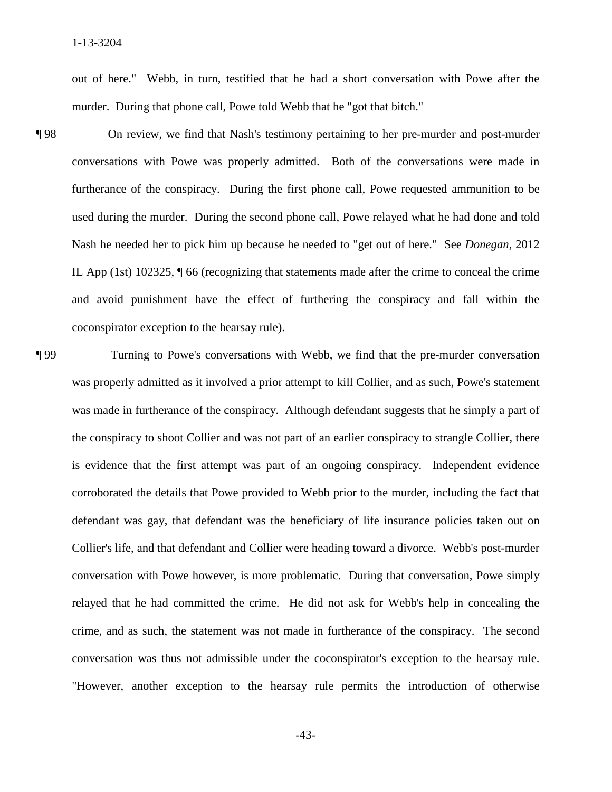out of here." Webb, in turn, testified that he had a short conversation with Powe after the murder. During that phone call, Powe told Webb that he "got that bitch."

- furtherance of the conspiracy. During the first phone call, Powe requested ammunition to be used during the murder. During the second phone call, Powe relayed what he had done and told Nash he needed her to pick him up because he needed to "get out of here." See *Donegan*, 2012 IL App (1st) 102325, ¶ 66 (recognizing that statements made after the crime to conceal the crime 198 On review, we find that Nash's testimony pertaining to her pre-murder and post-murder conversations with Powe was properly admitted. Both of the conversations were made in and avoid punishment have the effect of furthering the conspiracy and fall within the coconspirator exception to the hearsay rule).
- was made in furtherance of the conspiracy. Although defendant suggests that he simply a part of conversation was thus not admissible under the coconspirator's exception to the hearsay rule. ¶ 99 Turning to Powe's conversations with Webb, we find that the pre-murder conversation was properly admitted as it involved a prior attempt to kill Collier, and as such, Powe's statement the conspiracy to shoot Collier and was not part of an earlier conspiracy to strangle Collier, there is evidence that the first attempt was part of an ongoing conspiracy. Independent evidence corroborated the details that Powe provided to Webb prior to the murder, including the fact that defendant was gay, that defendant was the beneficiary of life insurance policies taken out on Collier's life, and that defendant and Collier were heading toward a divorce. Webb's post-murder conversation with Powe however, is more problematic. During that conversation, Powe simply relayed that he had committed the crime. He did not ask for Webb's help in concealing the crime, and as such, the statement was not made in furtherance of the conspiracy. The second "However, another exception to the hearsay rule permits the introduction of otherwise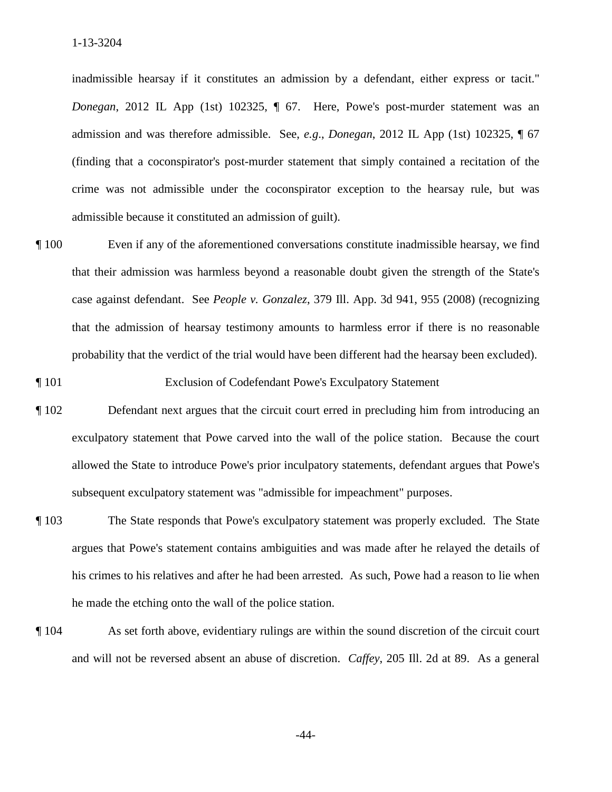admission and was therefore admissible. See, *e.g*., *Donegan*, 2012 IL App (1st) 102325, ¶ 67 (finding that a coconspirator's post-murder statement that simply contained a recitation of the inadmissible hearsay if it constitutes an admission by a defendant, either express or tacit." *Donegan*, 2012 IL App (1st) 102325, ¶ 67. Here, Powe's post-murder statement was an crime was not admissible under the coconspirator exception to the hearsay rule, but was admissible because it constituted an admission of guilt).

- case against defendant. See *People v. Gonzalez*, 379 Ill. App. 3d 941, 955 (2008) (recognizing ¶ 100 Even if any of the aforementioned conversations constitute inadmissible hearsay, we find that their admission was harmless beyond a reasonable doubt given the strength of the State's that the admission of hearsay testimony amounts to harmless error if there is no reasonable probability that the verdict of the trial would have been different had the hearsay been excluded).
- ¶ 101 Exclusion of Codefendant Powe's Exculpatory Statement
- ¶ 102 Defendant next argues that the circuit court erred in precluding him from introducing an exculpatory statement that Powe carved into the wall of the police station. Because the court allowed the State to introduce Powe's prior inculpatory statements, defendant argues that Powe's subsequent exculpatory statement was "admissible for impeachment" purposes.
- ¶ 103 The State responds that Powe's exculpatory statement was properly excluded. The State argues that Powe's statement contains ambiguities and was made after he relayed the details of his crimes to his relatives and after he had been arrested. As such, Powe had a reason to lie when he made the etching onto the wall of the police station.
- ¶ 104 As set forth above, evidentiary rulings are within the sound discretion of the circuit court and will not be reversed absent an abuse of discretion. *Caffey*, 205 Ill. 2d at 89. As a general

 $-44-$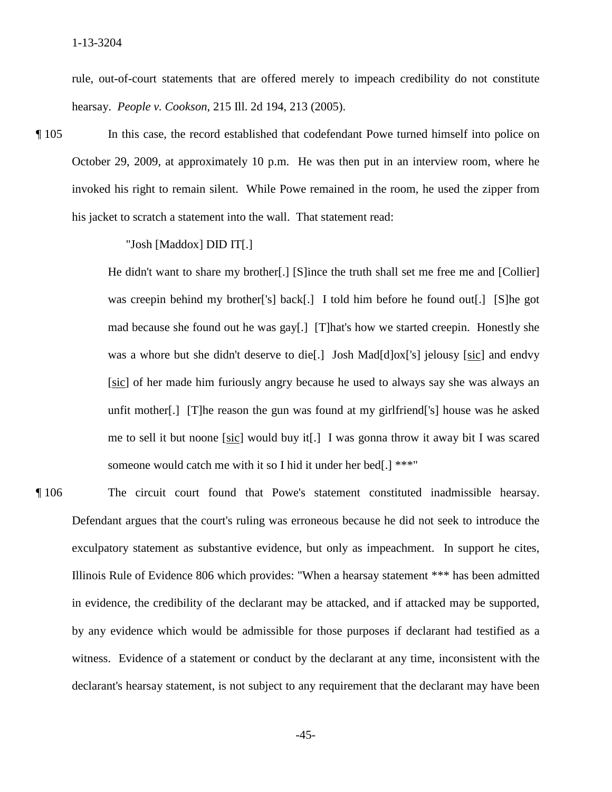hearsay. *People v. Cookson*, 215 Ill. 2d 194, 213 (2005). rule, out-of-court statements that are offered merely to impeach credibility do not constitute

¶ 105 In this case, the record established that codefendant Powe turned himself into police on October 29, 2009, at approximately 10 p.m. He was then put in an interview room, where he invoked his right to remain silent. While Powe remained in the room, he used the zipper from his jacket to scratch a statement into the wall. That statement read:

"Josh [Maddox] DID IT[.]

was a whore but she didn't deserve to die[.] Josh Mad[d]ox['s] jelousy [sic] and endvy unfit mother[.] [T]he reason the gun was found at my girlfriend['s] house was he asked me to sell it but noone [sic] would buy it[.] I was gonna throw it away bit I was scared He didn't want to share my brother[.] [S]ince the truth shall set me free me and [Collier] was creepin behind my brother<sup>['s]</sup> back[.] I told him before he found out[.] [S]he got mad because she found out he was gay[.] [T]hat's how we started creepin. Honestly she [sic] of her made him furiously angry because he used to always say she was always an someone would catch me with it so I hid it under her bed[.] \*\*\*"

The circuit court found that Powe's statement constituted inadmissible hearsay. exculpatory statement as substantive evidence, but only as impeachment. In support he cites, witness. Evidence of a statement or conduct by the declarant at any time, inconsistent with the ¶ 106 The circuit court found that Powe's statement constituted inadmissible hearsay. Defendant argues that the court's ruling was erroneous because he did not seek to introduce the Illinois Rule of Evidence 806 which provides: "When a hearsay statement \*\*\* has been admitted in evidence, the credibility of the declarant may be attacked, and if attacked may be supported, by any evidence which would be admissible for those purposes if declarant had testified as a declarant's hearsay statement, is not subject to any requirement that the declarant may have been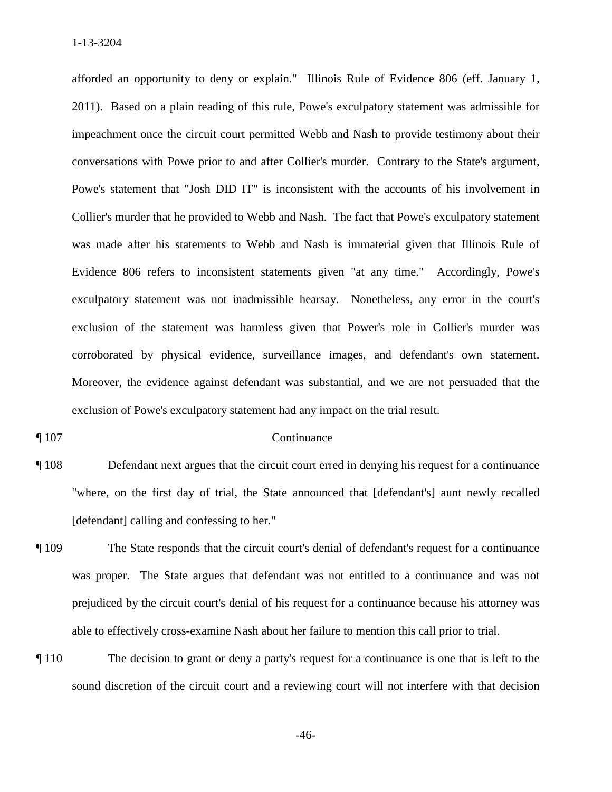afforded an opportunity to deny or explain." Illinois Rule of Evidence 806 (eff. January 1, exclusion of the statement was harmless given that Power's role in Collier's murder was corroborated by physical evidence, surveillance images, and defendant's own statement. exclusion of Powe's exculpatory statement had any impact on the trial result.<br>
The 107 Continuance 2011). Based on a plain reading of this rule, Powe's exculpatory statement was admissible for impeachment once the circuit court permitted Webb and Nash to provide testimony about their conversations with Powe prior to and after Collier's murder. Contrary to the State's argument, Powe's statement that "Josh DID IT" is inconsistent with the accounts of his involvement in Collier's murder that he provided to Webb and Nash. The fact that Powe's exculpatory statement was made after his statements to Webb and Nash is immaterial given that Illinois Rule of Evidence 806 refers to inconsistent statements given "at any time." Accordingly, Powe's exculpatory statement was not inadmissible hearsay. Nonetheless, any error in the court's Moreover, the evidence against defendant was substantial, and we are not persuaded that the

- "where, on the first day of trial, the State announced that [defendant's] aunt newly recalled [defendant] calling and confessing to her." ¶ 108 Defendant next argues that the circuit court erred in denying his request for a continuance
- The State responds that the circuit court's denial of defendant's request for a continuance was proper. The State argues that defendant was not entitled to a continuance and was not prejudiced by the circuit court's denial of his request for a continuance because his attorney was able to effectively cross-examine Nash about her failure to mention this call prior to trial.
- ¶ 110 The decision to grant or deny a party's request for a continuance is one that is left to the sound discretion of the circuit court and a reviewing court will not interfere with that decision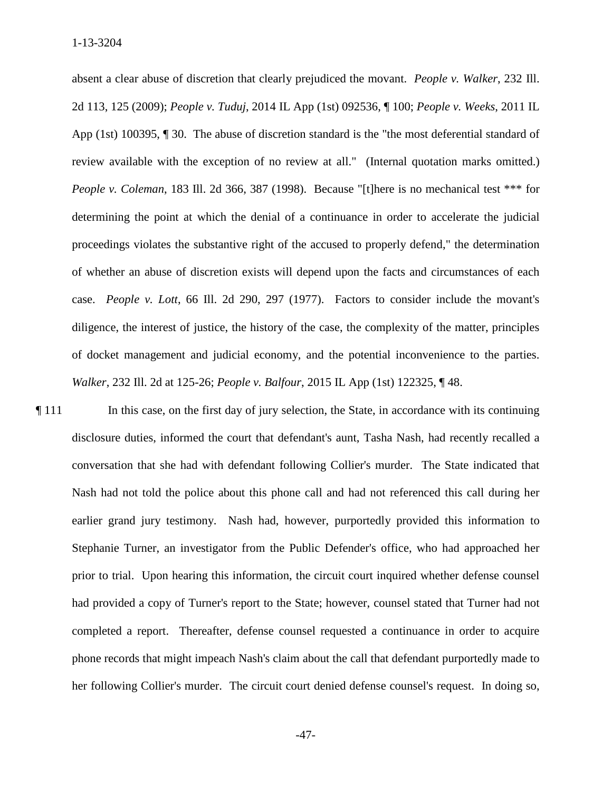case. *People v. Lott*, 66 Ill. 2d 290, 297 (1977). Factors to consider include the movant's of docket management and judicial economy, and the potential inconvenience to the parties. absent a clear abuse of discretion that clearly prejudiced the movant. *People v. Walker*, 232 Ill. 2d 113, 125 (2009); *People v. Tuduj*, 2014 IL App (1st) 092536, ¶ 100; *People v. Weeks*, 2011 IL App (1st) 100395, ¶ 30. The abuse of discretion standard is the "the most deferential standard of review available with the exception of no review at all." (Internal quotation marks omitted.) *People v. Coleman*, 183 Ill. 2d 366, 387 (1998). Because "[t]here is no mechanical test \*\*\* for determining the point at which the denial of a continuance in order to accelerate the judicial proceedings violates the substantive right of the accused to properly defend," the determination of whether an abuse of discretion exists will depend upon the facts and circumstances of each diligence, the interest of justice, the history of the case, the complexity of the matter, principles *Walker*, 232 Ill. 2d at 125-26; *People v. Balfour*, 2015 IL App (1st) 122325, ¶ 48.

 had provided a copy of Turner's report to the State; however, counsel stated that Turner had not completed a report. Thereafter, defense counsel requested a continuance in order to acquire ¶ 111 In this case, on the first day of jury selection, the State, in accordance with its continuing disclosure duties, informed the court that defendant's aunt, Tasha Nash, had recently recalled a conversation that she had with defendant following Collier's murder. The State indicated that Nash had not told the police about this phone call and had not referenced this call during her earlier grand jury testimony. Nash had, however, purportedly provided this information to Stephanie Turner, an investigator from the Public Defender's office, who had approached her prior to trial. Upon hearing this information, the circuit court inquired whether defense counsel phone records that might impeach Nash's claim about the call that defendant purportedly made to her following Collier's murder. The circuit court denied defense counsel's request. In doing so,

 $-47-$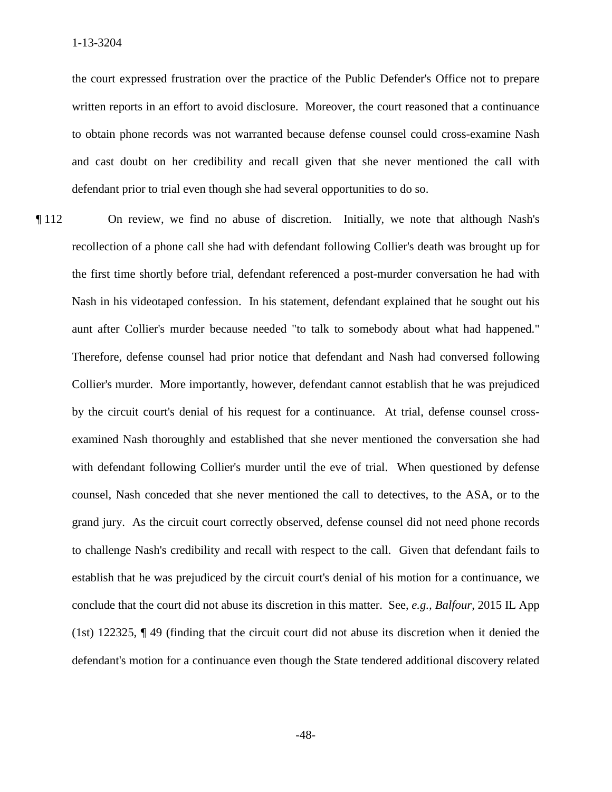the court expressed frustration over the practice of the Public Defender's Office not to prepare written reports in an effort to avoid disclosure. Moreover, the court reasoned that a continuance to obtain phone records was not warranted because defense counsel could cross-examine Nash and cast doubt on her credibility and recall given that she never mentioned the call with defendant prior to trial even though she had several opportunities to do so.

 grand jury. As the circuit court correctly observed, defense counsel did not need phone records to challenge Nash's credibility and recall with respect to the call. Given that defendant fails to defendant's motion for a continuance even though the State tendered additional discovery related ¶ 112 On review, we find no abuse of discretion. Initially, we note that although Nash's recollection of a phone call she had with defendant following Collier's death was brought up for the first time shortly before trial, defendant referenced a post-murder conversation he had with Nash in his videotaped confession. In his statement, defendant explained that he sought out his aunt after Collier's murder because needed "to talk to somebody about what had happened." Therefore, defense counsel had prior notice that defendant and Nash had conversed following Collier's murder. More importantly, however, defendant cannot establish that he was prejudiced by the circuit court's denial of his request for a continuance. At trial, defense counsel crossexamined Nash thoroughly and established that she never mentioned the conversation she had with defendant following Collier's murder until the eve of trial. When questioned by defense counsel, Nash conceded that she never mentioned the call to detectives, to the ASA, or to the establish that he was prejudiced by the circuit court's denial of his motion for a continuance, we conclude that the court did not abuse its discretion in this matter. See, *e.g., Balfour*, 2015 IL App (1st) 122325, ¶ 49 (finding that the circuit court did not abuse its discretion when it denied the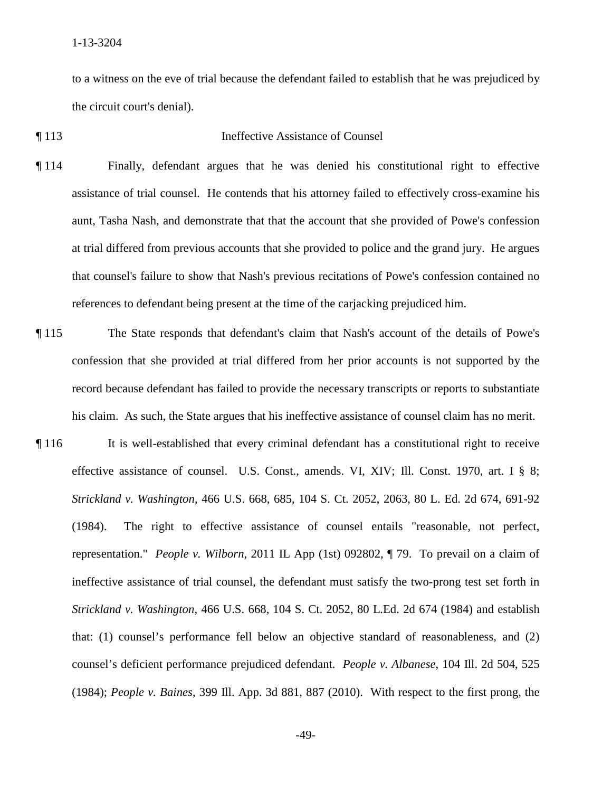to a witness on the eve of trial because the defendant failed to establish that he was prejudiced by the circuit court's denial).

### ¶ 113 Ineffective Assistance of Counsel

- ¶ 114 Finally, defendant argues that he was denied his constitutional right to effective assistance of trial counsel. He contends that his attorney failed to effectively cross-examine his aunt, Tasha Nash, and demonstrate that that the account that she provided of Powe's confession at trial differed from previous accounts that she provided to police and the grand jury. He argues that counsel's failure to show that Nash's previous recitations of Powe's confession contained no references to defendant being present at the time of the carjacking prejudiced him.
- confession that she provided at trial differed from her prior accounts is not supported by the ¶ 115 The State responds that defendant's claim that Nash's account of the details of Powe's record because defendant has failed to provide the necessary transcripts or reports to substantiate his claim. As such, the State argues that his ineffective assistance of counsel claim has no merit.
- representation." *People v. Wilborn*, 2011 IL App (1st) 092802, ¶ 79. To prevail on a claim of counsel's deficient performance prejudiced defendant. *People v. Albanese*, 104 Ill. 2d 504, 525 ¶ 116 It is well-established that every criminal defendant has a constitutional right to receive effective assistance of counsel. U.S. Const., amends. VI, XIV; Ill. Const. 1970, art. I § 8; *Strickland v. Washington*, 466 U.S. 668, 685, 104 S. Ct. 2052, 2063, 80 L. Ed. 2d 674, 691-92 (1984). The right to effective assistance of counsel entails "reasonable, not perfect, ineffective assistance of trial counsel, the defendant must satisfy the two-prong test set forth in *Strickland v. Washington*, 466 U.S. 668, 104 S. Ct. 2052, 80 L.Ed. 2d 674 (1984) and establish that: (1) counsel's performance fell below an objective standard of reasonableness, and (2) (1984); *People v. Baines*, 399 Ill. App. 3d 881, 887 (2010). With respect to the first prong, the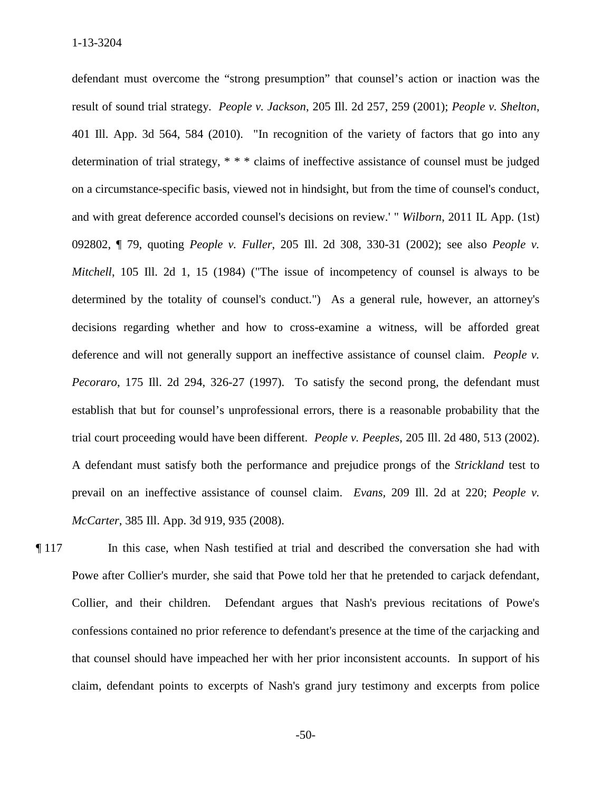and with great deference accorded counsel's decisions on review.' " *Wilborn*, 2011 IL App. (1st) determined by the totality of counsel's conduct.") As a general rule, however, an attorney's decisions regarding whether and how to cross-examine a witness, will be afforded great deference and will not generally support an ineffective assistance of counsel claim. *People v.*  prevail on an ineffective assistance of counsel claim. *Evans,* 209 Ill. 2d at 220; *People v.*  defendant must overcome the "strong presumption" that counsel's action or inaction was the result of sound trial strategy. *People v. Jackson*, 205 Ill. 2d 257, 259 (2001); *People v. Shelton*, 401 Ill. App. 3d 564, 584 (2010). "In recognition of the variety of factors that go into any determination of trial strategy, \* \* \* claims of ineffective assistance of counsel must be judged on a circumstance-specific basis, viewed not in hindsight, but from the time of counsel's conduct, 092802, ¶ 79, quoting *People v. Fuller*, 205 Ill. 2d 308, 330-31 (2002); see also *People v. Mitchell*, 105 Ill. 2d 1, 15 (1984) ("The issue of incompetency of counsel is always to be *Pecoraro*, 175 Ill. 2d 294, 326-27 (1997). To satisfy the second prong, the defendant must establish that but for counsel's unprofessional errors, there is a reasonable probability that the trial court proceeding would have been different. *People v. Peeples*, 205 Ill. 2d 480, 513 (2002). A defendant must satisfy both the performance and prejudice prongs of the *Strickland* test to *McCarter*, 385 Ill. App. 3d 919, 935 (2008).

¶ 117 In this case, when Nash testified at trial and described the conversation she had with Powe after Collier's murder, she said that Powe told her that he pretended to carjack defendant, Collier, and their children. Defendant argues that Nash's previous recitations of Powe's confessions contained no prior reference to defendant's presence at the time of the carjacking and that counsel should have impeached her with her prior inconsistent accounts. In support of his claim, defendant points to excerpts of Nash's grand jury testimony and excerpts from police

 $-50-$